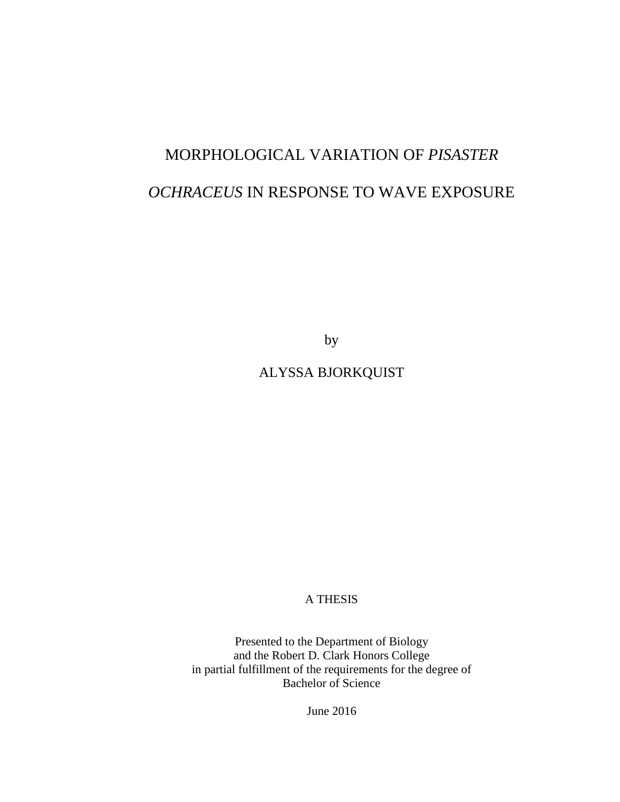# MORPHOLOGICAL VARIATION OF *PISASTER OCHRACEUS* IN RESPONSE TO WAVE EXPOSURE

by

# ALYSSA BJORKQUIST

A THESIS

Presented to the Department of Biology and the Robert D. Clark Honors College in partial fulfillment of the requirements for the degree of Bachelor of Science

June 2016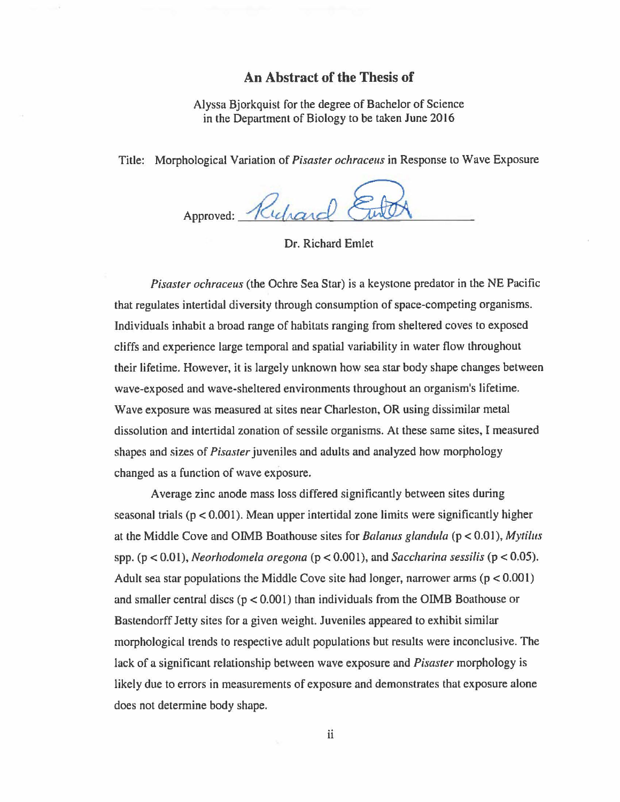# **An Abstract of the Thesis of**

Alyssa Bjorkquist for the degree of Bachelor of Science in the Department of Biology to be taken June 2016

Title: Morphological Variation of *Pisaster ochraceus* in Response to Wave Exposure

Approved: Ruchard

Dr. Richard Emlet

*Pisaster ochraceus* (the Ochre Sea Star) is a keystone predator in the NE Pacific that regulates intertidal diversity through consumption of space-competing organisms. Individuals inhabit a broad range of habitats ranging from sheltered coves to exposed cliffs and experience large temporal and spatial variability in water flow throughout their lifetime. However, it is largely unknown how sea star body shape changes between wave-exposed and wave-sheltered environments throughout an organism's lifetime. Wave exposure was measured at sites near Charleston, OR using dissimilar metal dissolution and intertidal zonation of sessile organisms. At these same sites, I measured shapes and sizes of *Pisaster* juveniles and adults and analyzed how morphology changed as a function of wave exposure.

Average zinc anode mass loss differed significantly between sites during seasonal trials ( $p < 0.001$ ). Mean upper intertidal zone limits were significantly higher at the Middle Cove and 01MB Boathouse sites for *Ba/anus g/andula* (p < 0.01 ), *Mytilus*  spp.  $(p < 0.01)$ , *Neorhodomela oregona*  $(p < 0.001)$ , and *Saccharina sessilis*  $(p < 0.05)$ . Adult sea star populations the Middle Cove site had longer, narrower arms  $(p < 0.001)$ and smaller central discs  $(p < 0.001)$  than individuals from the OIMB Boathouse or Bastendorff Jetty sites for a given weight. Juveniles appeared to exhibit similar morphological trends to respective adult populations but results were inconclusive. The lack of a significant relationship between wave exposure and *Pisaster* morphology is likely due to errors in measurements of exposure and demonstrates that exposure alone does not determine body shape.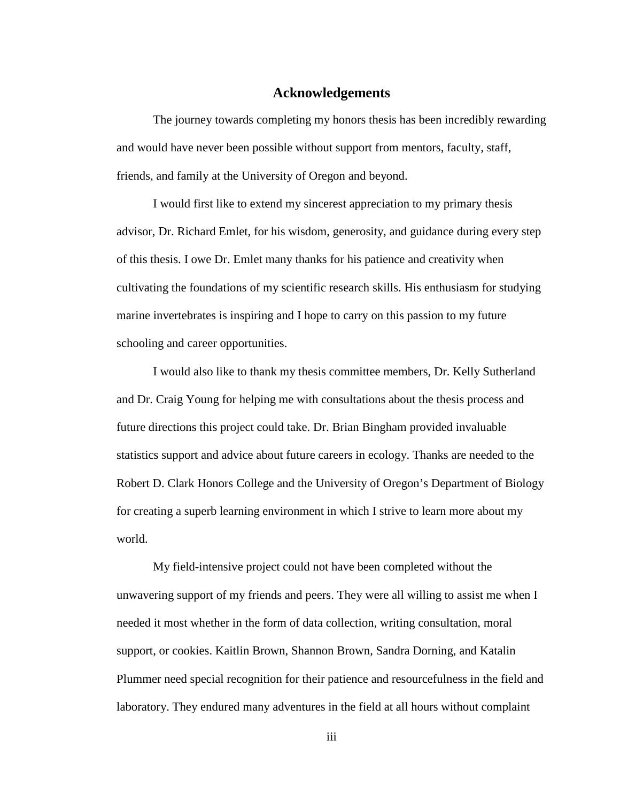### **Acknowledgements**

The journey towards completing my honors thesis has been incredibly rewarding and would have never been possible without support from mentors, faculty, staff, friends, and family at the University of Oregon and beyond.

I would first like to extend my sincerest appreciation to my primary thesis advisor, Dr. Richard Emlet, for his wisdom, generosity, and guidance during every step of this thesis. I owe Dr. Emlet many thanks for his patience and creativity when cultivating the foundations of my scientific research skills. His enthusiasm for studying marine invertebrates is inspiring and I hope to carry on this passion to my future schooling and career opportunities.

I would also like to thank my thesis committee members, Dr. Kelly Sutherland and Dr. Craig Young for helping me with consultations about the thesis process and future directions this project could take. Dr. Brian Bingham provided invaluable statistics support and advice about future careers in ecology. Thanks are needed to the Robert D. Clark Honors College and the University of Oregon's Department of Biology for creating a superb learning environment in which I strive to learn more about my world.

My field-intensive project could not have been completed without the unwavering support of my friends and peers. They were all willing to assist me when I needed it most whether in the form of data collection, writing consultation, moral support, or cookies. Kaitlin Brown, Shannon Brown, Sandra Dorning, and Katalin Plummer need special recognition for their patience and resourcefulness in the field and laboratory. They endured many adventures in the field at all hours without complaint

iii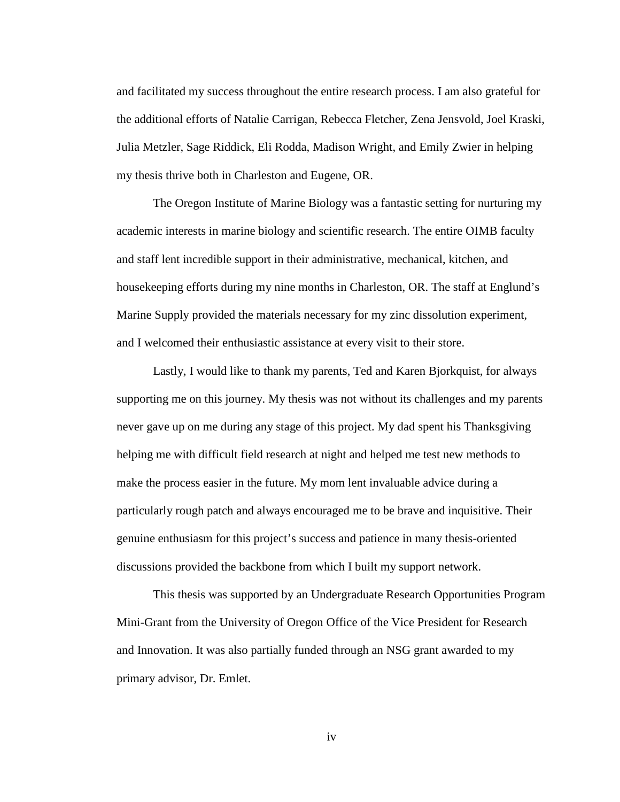and facilitated my success throughout the entire research process. I am also grateful for the additional efforts of Natalie Carrigan, Rebecca Fletcher, Zena Jensvold, Joel Kraski, Julia Metzler, Sage Riddick, Eli Rodda, Madison Wright, and Emily Zwier in helping my thesis thrive both in Charleston and Eugene, OR.

The Oregon Institute of Marine Biology was a fantastic setting for nurturing my academic interests in marine biology and scientific research. The entire OIMB faculty and staff lent incredible support in their administrative, mechanical, kitchen, and housekeeping efforts during my nine months in Charleston, OR. The staff at Englund's Marine Supply provided the materials necessary for my zinc dissolution experiment, and I welcomed their enthusiastic assistance at every visit to their store.

Lastly, I would like to thank my parents, Ted and Karen Bjorkquist, for always supporting me on this journey. My thesis was not without its challenges and my parents never gave up on me during any stage of this project. My dad spent his Thanksgiving helping me with difficult field research at night and helped me test new methods to make the process easier in the future. My mom lent invaluable advice during a particularly rough patch and always encouraged me to be brave and inquisitive. Their genuine enthusiasm for this project's success and patience in many thesis-oriented discussions provided the backbone from which I built my support network.

This thesis was supported by an Undergraduate Research Opportunities Program Mini-Grant from the University of Oregon Office of the Vice President for Research and Innovation. It was also partially funded through an NSG grant awarded to my primary advisor, Dr. Emlet.

iv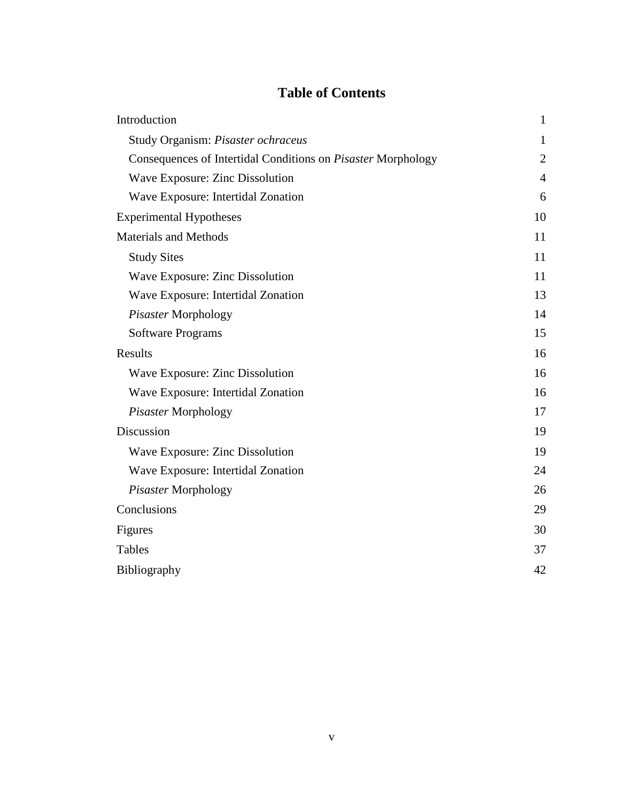# **Table of Contents**

| Introduction                                                 | $\mathbf{1}$   |
|--------------------------------------------------------------|----------------|
| Study Organism: Pisaster ochraceus                           | $\mathbf{1}$   |
| Consequences of Intertidal Conditions on Pisaster Morphology | $\overline{2}$ |
| Wave Exposure: Zinc Dissolution                              | $\overline{4}$ |
| Wave Exposure: Intertidal Zonation                           | 6              |
| <b>Experimental Hypotheses</b>                               | 10             |
| <b>Materials and Methods</b>                                 | 11             |
| <b>Study Sites</b>                                           | 11             |
| Wave Exposure: Zinc Dissolution                              | 11             |
| Wave Exposure: Intertidal Zonation                           | 13             |
| Pisaster Morphology                                          | 14             |
| <b>Software Programs</b>                                     | 15             |
| Results                                                      | 16             |
| Wave Exposure: Zinc Dissolution                              | 16             |
| Wave Exposure: Intertidal Zonation                           | 16             |
| Pisaster Morphology                                          | 17             |
| Discussion                                                   | 19             |
| Wave Exposure: Zinc Dissolution                              | 19             |
| Wave Exposure: Intertidal Zonation                           | 24             |
| Pisaster Morphology                                          | 26             |
| Conclusions                                                  | 29             |
| Figures                                                      | 30             |
| <b>Tables</b>                                                | 37             |
| <b>Bibliography</b>                                          | 42             |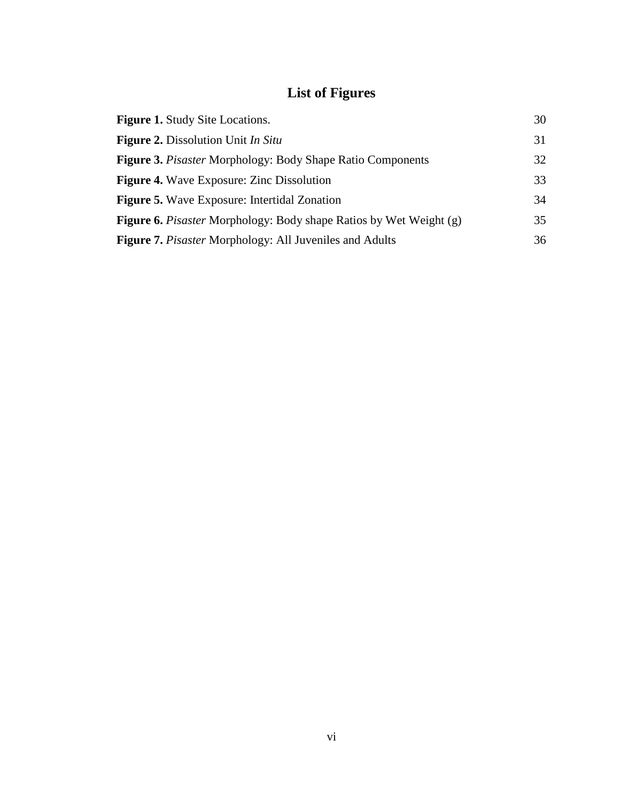# **List of Figures**

| <b>Figure 1.</b> Study Site Locations.                                    | 30 |
|---------------------------------------------------------------------------|----|
| <b>Figure 2.</b> Dissolution Unit In Situ                                 | 31 |
| <b>Figure 3. Pisaster Morphology: Body Shape Ratio Components</b>         | 32 |
| <b>Figure 4.</b> Wave Exposure: Zinc Dissolution                          | 33 |
| <b>Figure 5.</b> Wave Exposure: Intertidal Zonation                       | 34 |
| <b>Figure 6.</b> Pisaster Morphology: Body shape Ratios by Wet Weight (g) | 35 |
| <b>Figure 7.</b> <i>Pisaster</i> Morphology: All Juveniles and Adults     | 36 |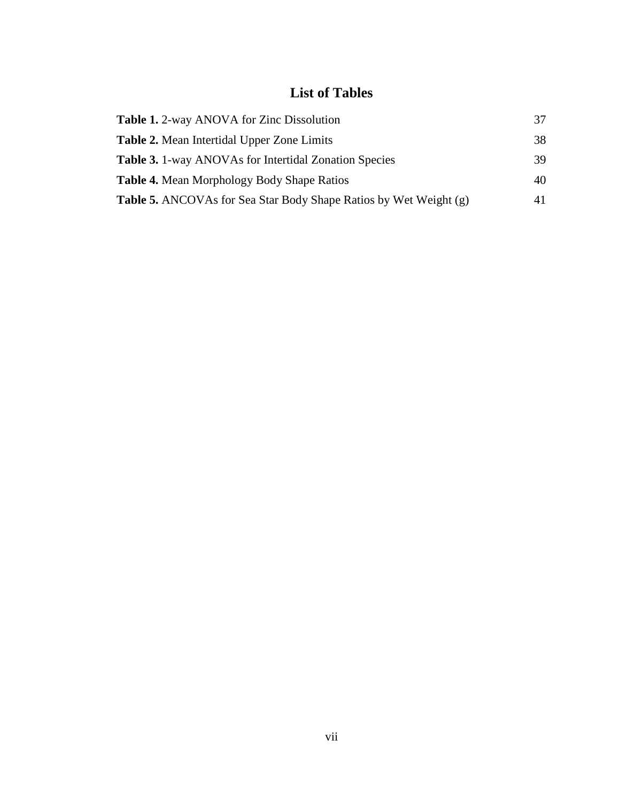# **List of Tables**

| <b>Table 1.</b> 2-way ANOVA for Zinc Dissolution                         | 37 |
|--------------------------------------------------------------------------|----|
| <b>Table 2.</b> Mean Intertidal Upper Zone Limits                        | 38 |
| <b>Table 3.</b> 1-way ANOVAs for Intertidal Zonation Species             | 39 |
| <b>Table 4.</b> Mean Morphology Body Shape Ratios                        | 40 |
| <b>Table 5.</b> ANCOVAs for Sea Star Body Shape Ratios by Wet Weight (g) | 41 |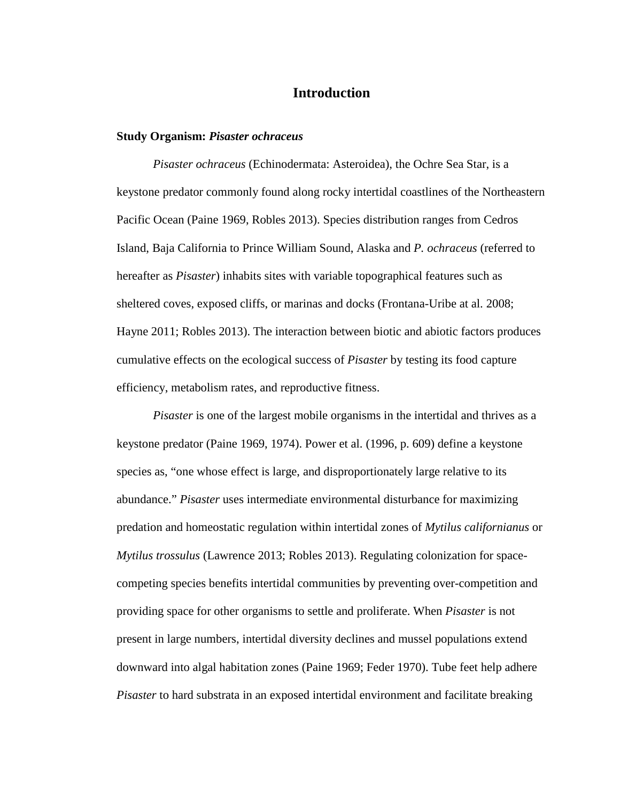# **Introduction**

#### **Study Organism:** *Pisaster ochraceus*

*Pisaster ochraceus* (Echinodermata: Asteroidea), the Ochre Sea Star, is a keystone predator commonly found along rocky intertidal coastlines of the Northeastern Pacific Ocean (Paine 1969, Robles 2013). Species distribution ranges from Cedros Island, Baja California to Prince William Sound, Alaska and *P. ochraceus* (referred to hereafter as *Pisaster*) inhabits sites with variable topographical features such as sheltered coves, exposed cliffs, or marinas and docks (Frontana-Uribe at al. 2008; Hayne 2011; Robles 2013). The interaction between biotic and abiotic factors produces cumulative effects on the ecological success of *Pisaster* by testing its food capture efficiency, metabolism rates, and reproductive fitness.

*Pisaster* is one of the largest mobile organisms in the intertidal and thrives as a keystone predator (Paine 1969, 1974). Power et al. (1996, p. 609) define a keystone species as, "one whose effect is large, and disproportionately large relative to its abundance." *Pisaster* uses intermediate environmental disturbance for maximizing predation and homeostatic regulation within intertidal zones of *Mytilus californianus* or *Mytilus trossulus* (Lawrence 2013; Robles 2013). Regulating colonization for spacecompeting species benefits intertidal communities by preventing over-competition and providing space for other organisms to settle and proliferate. When *Pisaster* is not present in large numbers, intertidal diversity declines and mussel populations extend downward into algal habitation zones (Paine 1969; Feder 1970). Tube feet help adhere *Pisaster* to hard substrata in an exposed intertidal environment and facilitate breaking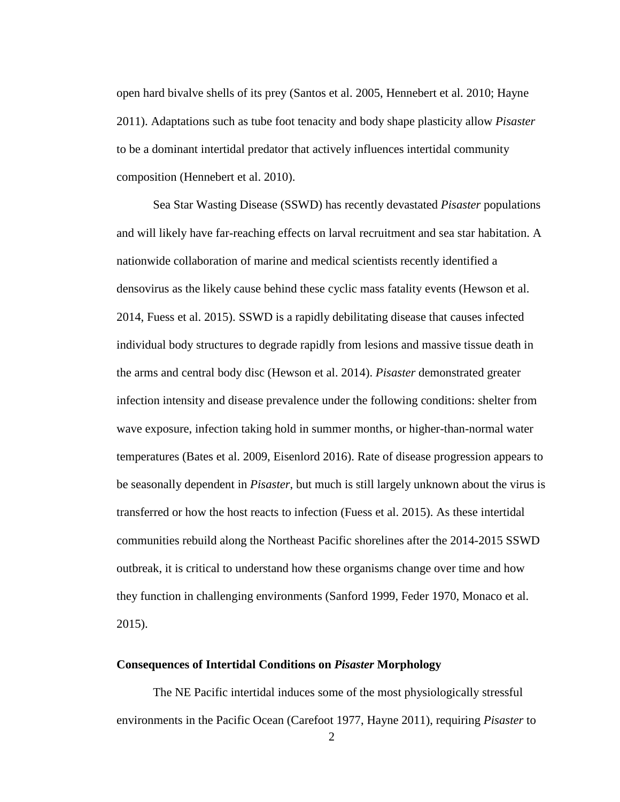open hard bivalve shells of its prey (Santos et al. 2005, Hennebert et al. 2010; Hayne 2011). Adaptations such as tube foot tenacity and body shape plasticity allow *Pisaster* to be a dominant intertidal predator that actively influences intertidal community composition (Hennebert et al. 2010).

Sea Star Wasting Disease (SSWD) has recently devastated *Pisaster* populations and will likely have far-reaching effects on larval recruitment and sea star habitation. A nationwide collaboration of marine and medical scientists recently identified a densovirus as the likely cause behind these cyclic mass fatality events (Hewson et al. 2014, Fuess et al. 2015). SSWD is a rapidly debilitating disease that causes infected individual body structures to degrade rapidly from lesions and massive tissue death in the arms and central body disc (Hewson et al. 2014). *Pisaster* demonstrated greater infection intensity and disease prevalence under the following conditions: shelter from wave exposure, infection taking hold in summer months, or higher-than-normal water temperatures (Bates et al. 2009, Eisenlord 2016). Rate of disease progression appears to be seasonally dependent in *Pisaster*, but much is still largely unknown about the virus is transferred or how the host reacts to infection (Fuess et al. 2015). As these intertidal communities rebuild along the Northeast Pacific shorelines after the 2014-2015 SSWD outbreak, it is critical to understand how these organisms change over time and how they function in challenging environments (Sanford 1999, Feder 1970, Monaco et al. 2015).

### **Consequences of Intertidal Conditions on** *Pisaster* **Morphology**

The NE Pacific intertidal induces some of the most physiologically stressful environments in the Pacific Ocean (Carefoot 1977, Hayne 2011), requiring *Pisaster* to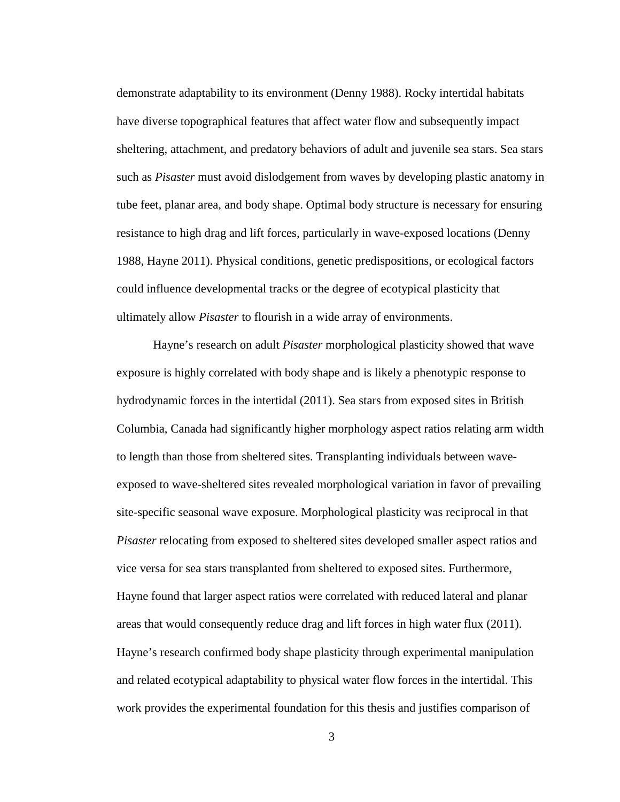demonstrate adaptability to its environment (Denny 1988). Rocky intertidal habitats have diverse topographical features that affect water flow and subsequently impact sheltering, attachment, and predatory behaviors of adult and juvenile sea stars. Sea stars such as *Pisaster* must avoid dislodgement from waves by developing plastic anatomy in tube feet, planar area, and body shape. Optimal body structure is necessary for ensuring resistance to high drag and lift forces, particularly in wave-exposed locations (Denny 1988, Hayne 2011). Physical conditions, genetic predispositions, or ecological factors could influence developmental tracks or the degree of ecotypical plasticity that ultimately allow *Pisaster* to flourish in a wide array of environments.

Hayne's research on adult *Pisaster* morphological plasticity showed that wave exposure is highly correlated with body shape and is likely a phenotypic response to hydrodynamic forces in the intertidal (2011). Sea stars from exposed sites in British Columbia, Canada had significantly higher morphology aspect ratios relating arm width to length than those from sheltered sites. Transplanting individuals between waveexposed to wave-sheltered sites revealed morphological variation in favor of prevailing site-specific seasonal wave exposure. Morphological plasticity was reciprocal in that *Pisaster* relocating from exposed to sheltered sites developed smaller aspect ratios and vice versa for sea stars transplanted from sheltered to exposed sites. Furthermore, Hayne found that larger aspect ratios were correlated with reduced lateral and planar areas that would consequently reduce drag and lift forces in high water flux (2011). Hayne's research confirmed body shape plasticity through experimental manipulation and related ecotypical adaptability to physical water flow forces in the intertidal. This work provides the experimental foundation for this thesis and justifies comparison of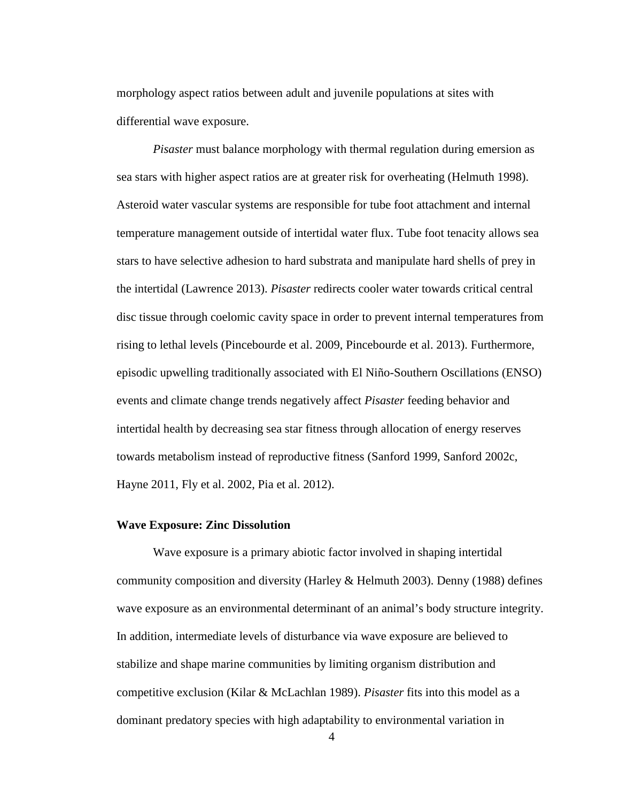morphology aspect ratios between adult and juvenile populations at sites with differential wave exposure.

*Pisaster* must balance morphology with thermal regulation during emersion as sea stars with higher aspect ratios are at greater risk for overheating (Helmuth 1998). Asteroid water vascular systems are responsible for tube foot attachment and internal temperature management outside of intertidal water flux. Tube foot tenacity allows sea stars to have selective adhesion to hard substrata and manipulate hard shells of prey in the intertidal (Lawrence 2013). *Pisaster* redirects cooler water towards critical central disc tissue through coelomic cavity space in order to prevent internal temperatures from rising to lethal levels (Pincebourde et al. 2009, Pincebourde et al. 2013). Furthermore, episodic upwelling traditionally associated with El Niño-Southern Oscillations (ENSO) events and climate change trends negatively affect *Pisaster* feeding behavior and intertidal health by decreasing sea star fitness through allocation of energy reserves towards metabolism instead of reproductive fitness (Sanford 1999, Sanford 2002c, Hayne 2011, Fly et al. 2002, Pia et al. 2012).

#### **Wave Exposure: Zinc Dissolution**

Wave exposure is a primary abiotic factor involved in shaping intertidal community composition and diversity (Harley & Helmuth 2003). Denny (1988) defines wave exposure as an environmental determinant of an animal's body structure integrity. In addition, intermediate levels of disturbance via wave exposure are believed to stabilize and shape marine communities by limiting organism distribution and competitive exclusion (Kilar & McLachlan 1989). *Pisaster* fits into this model as a dominant predatory species with high adaptability to environmental variation in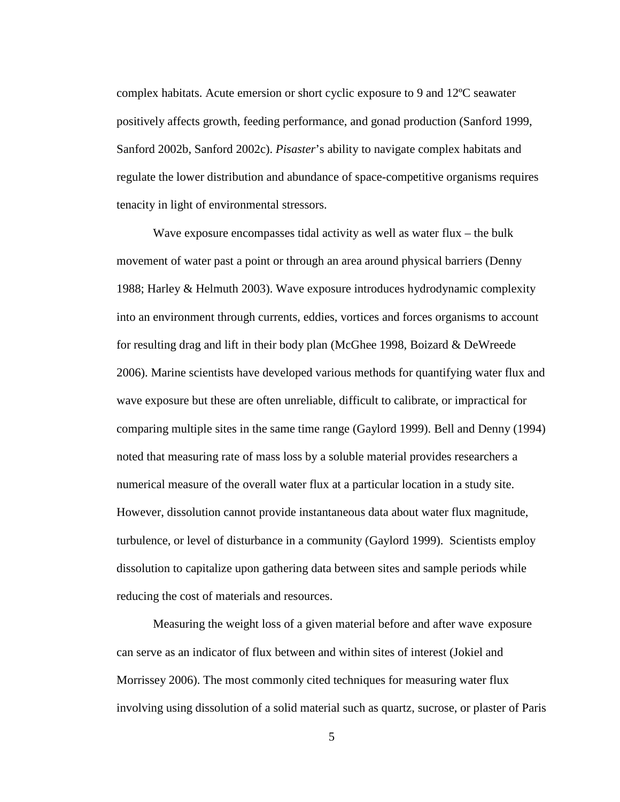complex habitats. Acute emersion or short cyclic exposure to 9 and 12ºC seawater positively affects growth, feeding performance, and gonad production (Sanford 1999, Sanford 2002b, Sanford 2002c). *Pisaster*'s ability to navigate complex habitats and regulate the lower distribution and abundance of space-competitive organisms requires tenacity in light of environmental stressors.

Wave exposure encompasses tidal activity as well as water flux – the bulk movement of water past a point or through an area around physical barriers (Denny 1988; Harley & Helmuth 2003). Wave exposure introduces hydrodynamic complexity into an environment through currents, eddies, vortices and forces organisms to account for resulting drag and lift in their body plan (McGhee 1998, Boizard & DeWreede 2006). Marine scientists have developed various methods for quantifying water flux and wave exposure but these are often unreliable, difficult to calibrate, or impractical for comparing multiple sites in the same time range (Gaylord 1999). Bell and Denny (1994) noted that measuring rate of mass loss by a soluble material provides researchers a numerical measure of the overall water flux at a particular location in a study site. However, dissolution cannot provide instantaneous data about water flux magnitude, turbulence, or level of disturbance in a community (Gaylord 1999). Scientists employ dissolution to capitalize upon gathering data between sites and sample periods while reducing the cost of materials and resources.

Measuring the weight loss of a given material before and after wave exposure can serve as an indicator of flux between and within sites of interest (Jokiel and Morrissey 2006). The most commonly cited techniques for measuring water flux involving using dissolution of a solid material such as quartz, sucrose, or plaster of Paris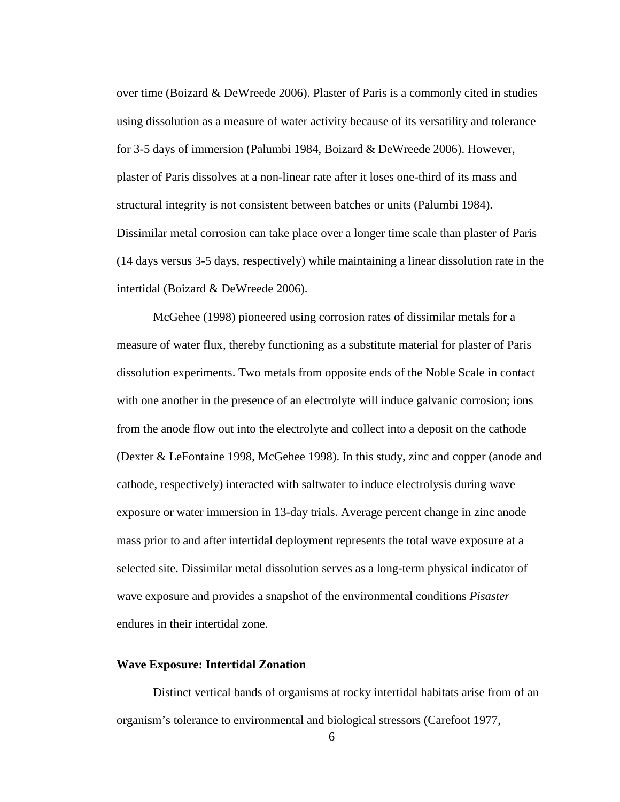over time (Boizard  $\&$  DeWreede 2006). Plaster of Paris is a commonly cited in studies using dissolution as a measure of water activity because of its versatility and tolerance for 3-5 days of immersion (Palumbi 1984, Boizard & DeWreede 2006). However, plaster of Paris dissolves at a non-linear rate after it loses one-third of its mass and structural integrity is not consistent between batches or units (Palumbi 1984). Dissimilar metal corrosion can take place over a longer time scale than plaster of Paris (14 days versus 3-5 days, respectively) while maintaining a linear dissolution rate in the intertidal (Boizard & DeWreede 2006).

McGehee (1998) pioneered using corrosion rates of dissimilar metals for a measure of water flux, thereby functioning as a substitute material for plaster of Paris dissolution experiments. Two metals from opposite ends of the Noble Scale in contact with one another in the presence of an electrolyte will induce galvanic corrosion; ions from the anode flow out into the electrolyte and collect into a deposit on the cathode (Dexter & LeFontaine 1998, McGehee 1998). In this study, zinc and copper (anode and cathode, respectively) interacted with saltwater to induce electrolysis during wave exposure or water immersion in 13-day trials. Average percent change in zinc anode mass prior to and after intertidal deployment represents the total wave exposure at a selected site. Dissimilar metal dissolution serves as a long-term physical indicator of wave exposure and provides a snapshot of the environmental conditions *Pisaster* endures in their intertidal zone.

#### **Wave Exposure: Intertidal Zonation**

Distinct vertical bands of organisms at rocky intertidal habitats arise from of an organism's tolerance to environmental and biological stressors (Carefoot 1977,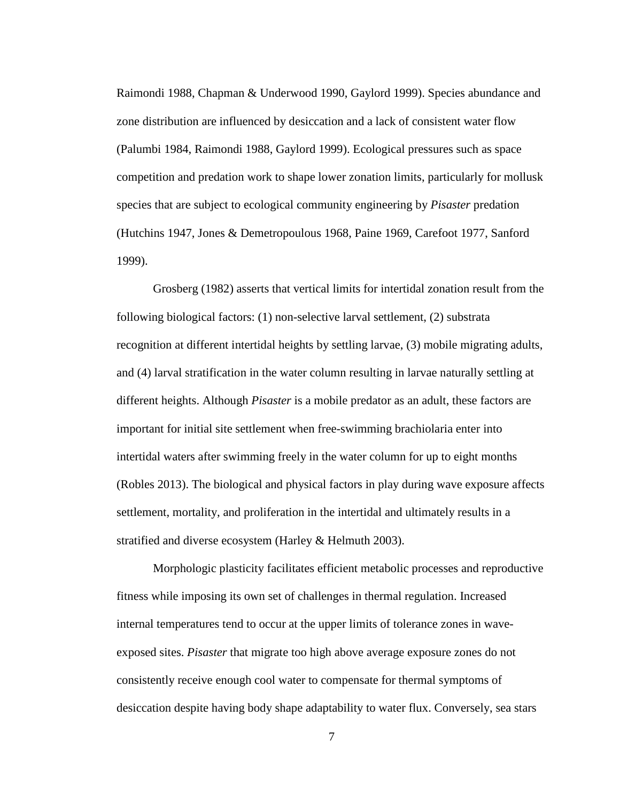Raimondi 1988, Chapman & Underwood 1990, Gaylord 1999). Species abundance and zone distribution are influenced by desiccation and a lack of consistent water flow (Palumbi 1984, Raimondi 1988, Gaylord 1999). Ecological pressures such as space competition and predation work to shape lower zonation limits, particularly for mollusk species that are subject to ecological community engineering by *Pisaster* predation (Hutchins 1947, Jones & Demetropoulous 1968, Paine 1969, Carefoot 1977, Sanford 1999).

Grosberg (1982) asserts that vertical limits for intertidal zonation result from the following biological factors: (1) non-selective larval settlement, (2) substrata recognition at different intertidal heights by settling larvae, (3) mobile migrating adults, and (4) larval stratification in the water column resulting in larvae naturally settling at different heights. Although *Pisaster* is a mobile predator as an adult, these factors are important for initial site settlement when free-swimming brachiolaria enter into intertidal waters after swimming freely in the water column for up to eight months (Robles 2013). The biological and physical factors in play during wave exposure affects settlement, mortality, and proliferation in the intertidal and ultimately results in a stratified and diverse ecosystem (Harley & Helmuth 2003).

Morphologic plasticity facilitates efficient metabolic processes and reproductive fitness while imposing its own set of challenges in thermal regulation. Increased internal temperatures tend to occur at the upper limits of tolerance zones in waveexposed sites. *Pisaster* that migrate too high above average exposure zones do not consistently receive enough cool water to compensate for thermal symptoms of desiccation despite having body shape adaptability to water flux. Conversely, sea stars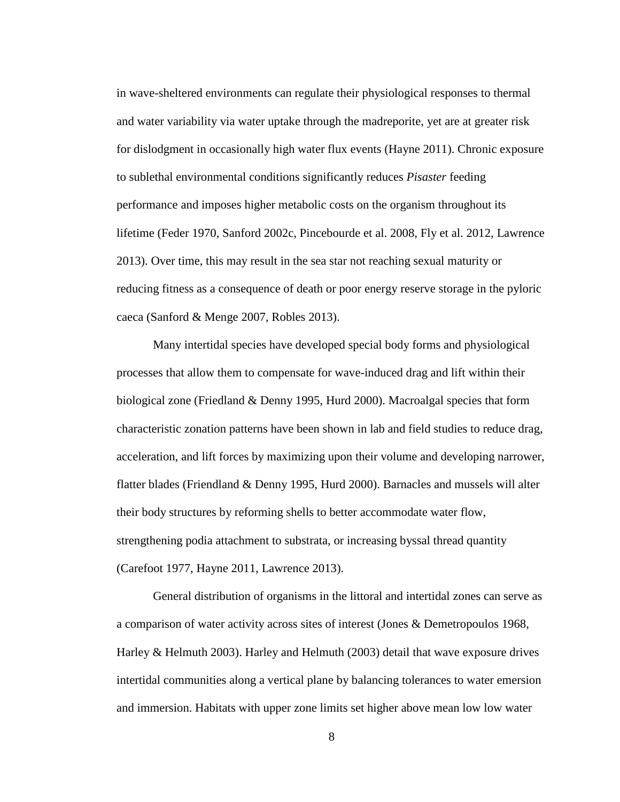in wave-sheltered environments can regulate their physiological responses to thermal and water variability via water uptake through the madreporite, yet are at greater risk for dislodgment in occasionally high water flux events (Hayne 2011). Chronic exposure to sublethal environmental conditions significantly reduces *Pisaster* feeding performance and imposes higher metabolic costs on the organism throughout its lifetime (Feder 1970, Sanford 2002c, Pincebourde et al. 2008, Fly et al. 2012, Lawrence 2013). Over time, this may result in the sea star not reaching sexual maturity or reducing fitness as a consequence of death or poor energy reserve storage in the pyloric caeca (Sanford & Menge 2007, Robles 2013).

Many intertidal species have developed special body forms and physiological processes that allow them to compensate for wave-induced drag and lift within their biological zone (Friedland & Denny 1995, Hurd 2000). Macroalgal species that form characteristic zonation patterns have been shown in lab and field studies to reduce drag, acceleration, and lift forces by maximizing upon their volume and developing narrower, flatter blades (Friendland & Denny 1995, Hurd 2000). Barnacles and mussels will alter their body structures by reforming shells to better accommodate water flow, strengthening podia attachment to substrata, or increasing byssal thread quantity (Carefoot 1977, Hayne 2011, Lawrence 2013).

General distribution of organisms in the littoral and intertidal zones can serve as a comparison of water activity across sites of interest (Jones & Demetropoulos 1968, Harley & Helmuth 2003). Harley and Helmuth (2003) detail that wave exposure drives intertidal communities along a vertical plane by balancing tolerances to water emersion and immersion. Habitats with upper zone limits set higher above mean low low water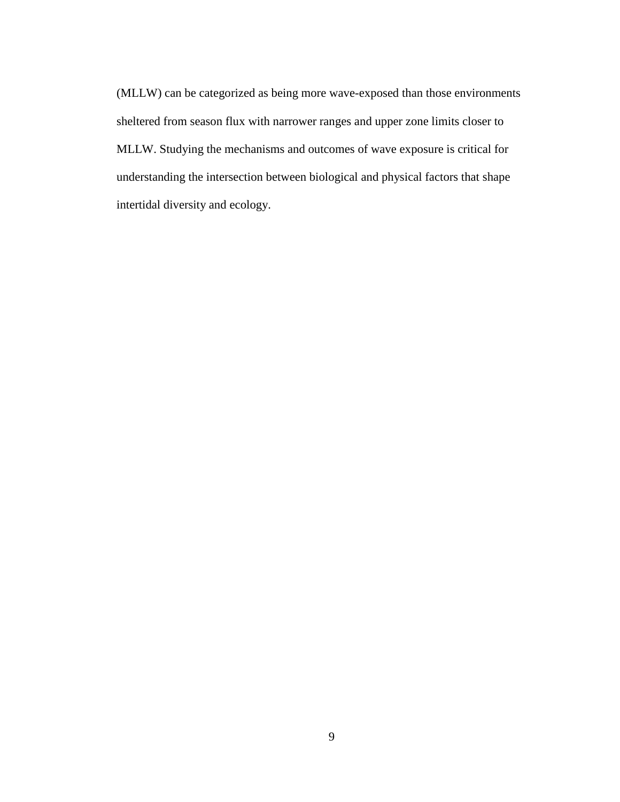(MLLW) can be categorized as being more wave-exposed than those environments sheltered from season flux with narrower ranges and upper zone limits closer to MLLW. Studying the mechanisms and outcomes of wave exposure is critical for understanding the intersection between biological and physical factors that shape intertidal diversity and ecology.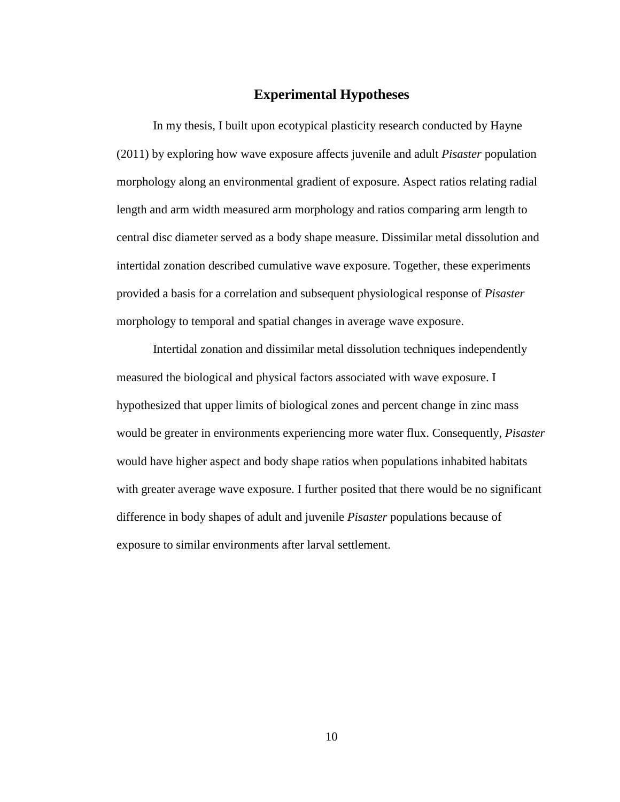# **Experimental Hypotheses**

In my thesis, I built upon ecotypical plasticity research conducted by Hayne (2011) by exploring how wave exposure affects juvenile and adult *Pisaster* population morphology along an environmental gradient of exposure. Aspect ratios relating radial length and arm width measured arm morphology and ratios comparing arm length to central disc diameter served as a body shape measure. Dissimilar metal dissolution and intertidal zonation described cumulative wave exposure. Together, these experiments provided a basis for a correlation and subsequent physiological response of *Pisaster*  morphology to temporal and spatial changes in average wave exposure.

Intertidal zonation and dissimilar metal dissolution techniques independently measured the biological and physical factors associated with wave exposure. I hypothesized that upper limits of biological zones and percent change in zinc mass would be greater in environments experiencing more water flux. Consequently, *Pisaster*  would have higher aspect and body shape ratios when populations inhabited habitats with greater average wave exposure. I further posited that there would be no significant difference in body shapes of adult and juvenile *Pisaster* populations because of exposure to similar environments after larval settlement.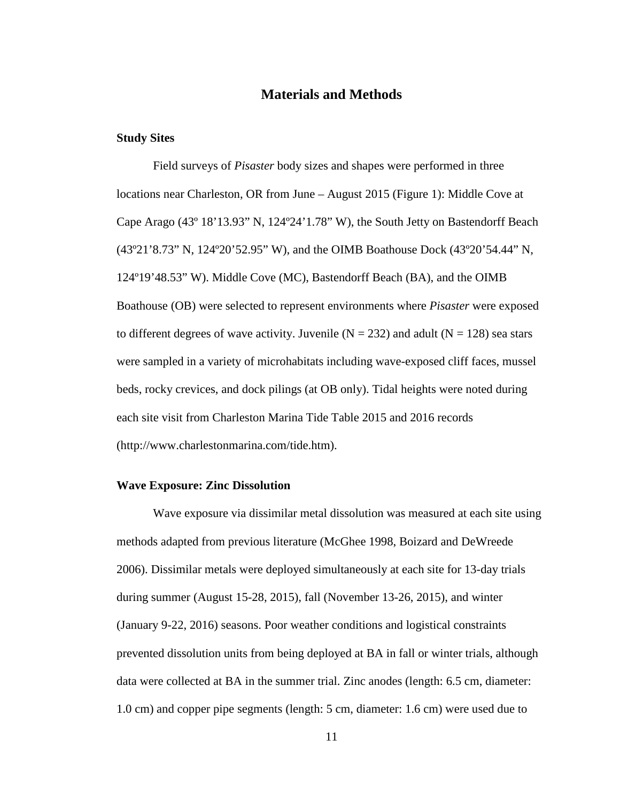# **Materials and Methods**

### **Study Sites**

Field surveys of *Pisaster* body sizes and shapes were performed in three locations near Charleston, OR from June – August 2015 (Figure 1): Middle Cove at Cape Arago (43º 18'13.93" N, 124º24'1.78" W), the South Jetty on Bastendorff Beach (43º21'8.73" N, 124º20'52.95" W), and the OIMB Boathouse Dock (43º20'54.44" N, 124º19'48.53" W). Middle Cove (MC), Bastendorff Beach (BA), and the OIMB Boathouse (OB) were selected to represent environments where *Pisaster* were exposed to different degrees of wave activity. Juvenile ( $N = 232$ ) and adult ( $N = 128$ ) sea stars were sampled in a variety of microhabitats including wave-exposed cliff faces, mussel beds, rocky crevices, and dock pilings (at OB only). Tidal heights were noted during each site visit from Charleston Marina Tide Table 2015 and 2016 records (http://www.charlestonmarina.com/tide.htm).

#### **Wave Exposure: Zinc Dissolution**

Wave exposure via dissimilar metal dissolution was measured at each site using methods adapted from previous literature (McGhee 1998, Boizard and DeWreede 2006). Dissimilar metals were deployed simultaneously at each site for 13-day trials during summer (August 15-28, 2015), fall (November 13-26, 2015), and winter (January 9-22, 2016) seasons. Poor weather conditions and logistical constraints prevented dissolution units from being deployed at BA in fall or winter trials, although data were collected at BA in the summer trial. Zinc anodes (length: 6.5 cm, diameter: 1.0 cm) and copper pipe segments (length: 5 cm, diameter: 1.6 cm) were used due to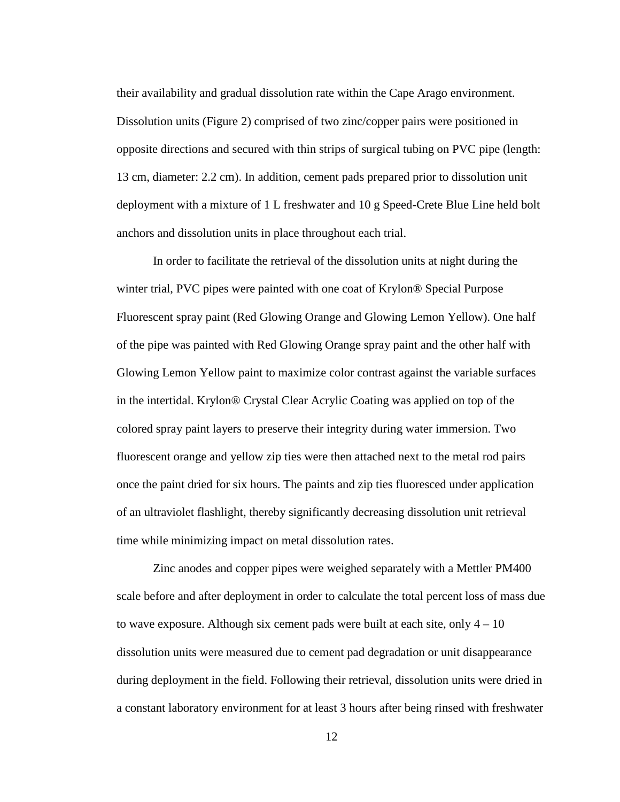their availability and gradual dissolution rate within the Cape Arago environment. Dissolution units (Figure 2) comprised of two zinc/copper pairs were positioned in opposite directions and secured with thin strips of surgical tubing on PVC pipe (length: 13 cm, diameter: 2.2 cm). In addition, cement pads prepared prior to dissolution unit deployment with a mixture of 1 L freshwater and 10 g Speed-Crete Blue Line held bolt anchors and dissolution units in place throughout each trial.

In order to facilitate the retrieval of the dissolution units at night during the winter trial, PVC pipes were painted with one coat of Krylon® Special Purpose Fluorescent spray paint (Red Glowing Orange and Glowing Lemon Yellow). One half of the pipe was painted with Red Glowing Orange spray paint and the other half with Glowing Lemon Yellow paint to maximize color contrast against the variable surfaces in the intertidal. Krylon® Crystal Clear Acrylic Coating was applied on top of the colored spray paint layers to preserve their integrity during water immersion. Two fluorescent orange and yellow zip ties were then attached next to the metal rod pairs once the paint dried for six hours. The paints and zip ties fluoresced under application of an ultraviolet flashlight, thereby significantly decreasing dissolution unit retrieval time while minimizing impact on metal dissolution rates.

Zinc anodes and copper pipes were weighed separately with a Mettler PM400 scale before and after deployment in order to calculate the total percent loss of mass due to wave exposure. Although six cement pads were built at each site, only  $4 - 10$ dissolution units were measured due to cement pad degradation or unit disappearance during deployment in the field. Following their retrieval, dissolution units were dried in a constant laboratory environment for at least 3 hours after being rinsed with freshwater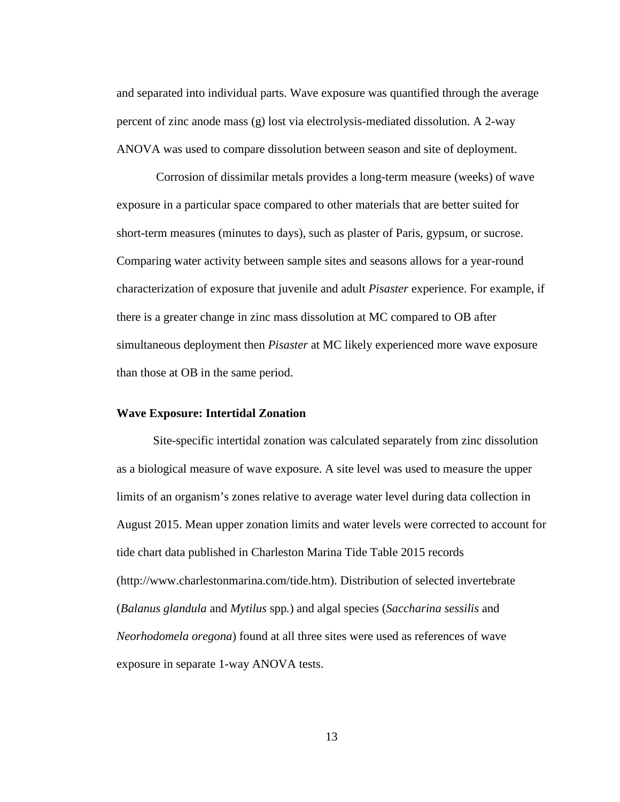and separated into individual parts. Wave exposure was quantified through the average percent of zinc anode mass (g) lost via electrolysis-mediated dissolution. A 2-way ANOVA was used to compare dissolution between season and site of deployment.

Corrosion of dissimilar metals provides a long-term measure (weeks) of wave exposure in a particular space compared to other materials that are better suited for short-term measures (minutes to days), such as plaster of Paris, gypsum, or sucrose. Comparing water activity between sample sites and seasons allows for a year-round characterization of exposure that juvenile and adult *Pisaster* experience. For example, if there is a greater change in zinc mass dissolution at MC compared to OB after simultaneous deployment then *Pisaster* at MC likely experienced more wave exposure than those at OB in the same period.

### **Wave Exposure: Intertidal Zonation**

Site-specific intertidal zonation was calculated separately from zinc dissolution as a biological measure of wave exposure. A site level was used to measure the upper limits of an organism's zones relative to average water level during data collection in August 2015. Mean upper zonation limits and water levels were corrected to account for tide chart data published in Charleston Marina Tide Table 2015 records (http://www.charlestonmarina.com/tide.htm). Distribution of selected invertebrate (*Balanus glandula* and *Mytilus* spp*.*) and algal species (*Saccharina sessilis* and *Neorhodomela oregona*) found at all three sites were used as references of wave exposure in separate 1-way ANOVA tests.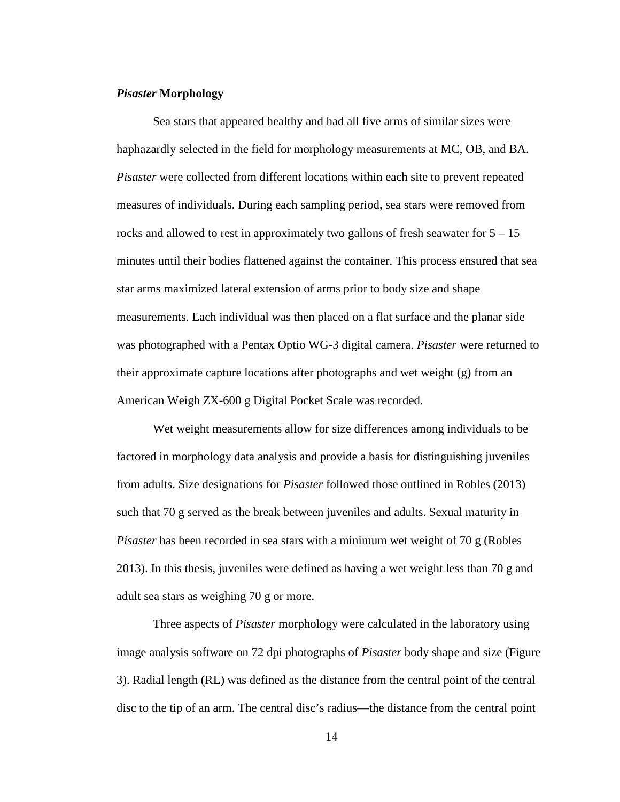#### *Pisaster* **Morphology**

Sea stars that appeared healthy and had all five arms of similar sizes were haphazardly selected in the field for morphology measurements at MC, OB, and BA. *Pisaster* were collected from different locations within each site to prevent repeated measures of individuals. During each sampling period, sea stars were removed from rocks and allowed to rest in approximately two gallons of fresh seawater for 5 – 15 minutes until their bodies flattened against the container. This process ensured that sea star arms maximized lateral extension of arms prior to body size and shape measurements. Each individual was then placed on a flat surface and the planar side was photographed with a Pentax Optio WG-3 digital camera. *Pisaster* were returned to their approximate capture locations after photographs and wet weight (g) from an American Weigh ZX-600 g Digital Pocket Scale was recorded.

Wet weight measurements allow for size differences among individuals to be factored in morphology data analysis and provide a basis for distinguishing juveniles from adults. Size designations for *Pisaster* followed those outlined in Robles (2013) such that 70 g served as the break between juveniles and adults. Sexual maturity in *Pisaster* has been recorded in sea stars with a minimum wet weight of 70 g (Robles 2013). In this thesis, juveniles were defined as having a wet weight less than 70 g and adult sea stars as weighing 70 g or more.

Three aspects of *Pisaster* morphology were calculated in the laboratory using image analysis software on 72 dpi photographs of *Pisaster* body shape and size (Figure 3). Radial length (RL) was defined as the distance from the central point of the central disc to the tip of an arm. The central disc's radius—the distance from the central point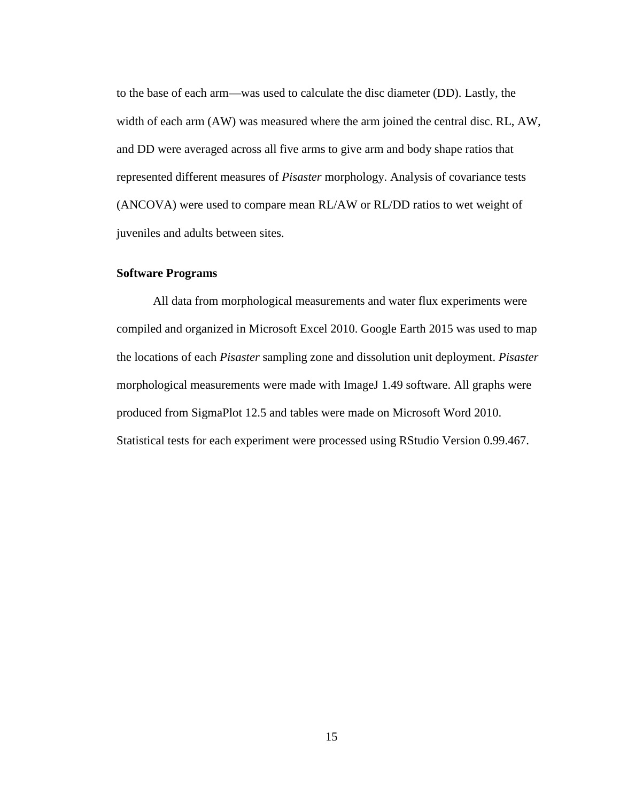to the base of each arm—was used to calculate the disc diameter (DD). Lastly, the width of each arm (AW) was measured where the arm joined the central disc. RL, AW, and DD were averaged across all five arms to give arm and body shape ratios that represented different measures of *Pisaster* morphology. Analysis of covariance tests (ANCOVA) were used to compare mean RL/AW or RL/DD ratios to wet weight of juveniles and adults between sites.

#### **Software Programs**

All data from morphological measurements and water flux experiments were compiled and organized in Microsoft Excel 2010. Google Earth 2015 was used to map the locations of each *Pisaster* sampling zone and dissolution unit deployment. *Pisaster* morphological measurements were made with ImageJ 1.49 software. All graphs were produced from SigmaPlot 12.5 and tables were made on Microsoft Word 2010. Statistical tests for each experiment were processed using RStudio Version 0.99.467.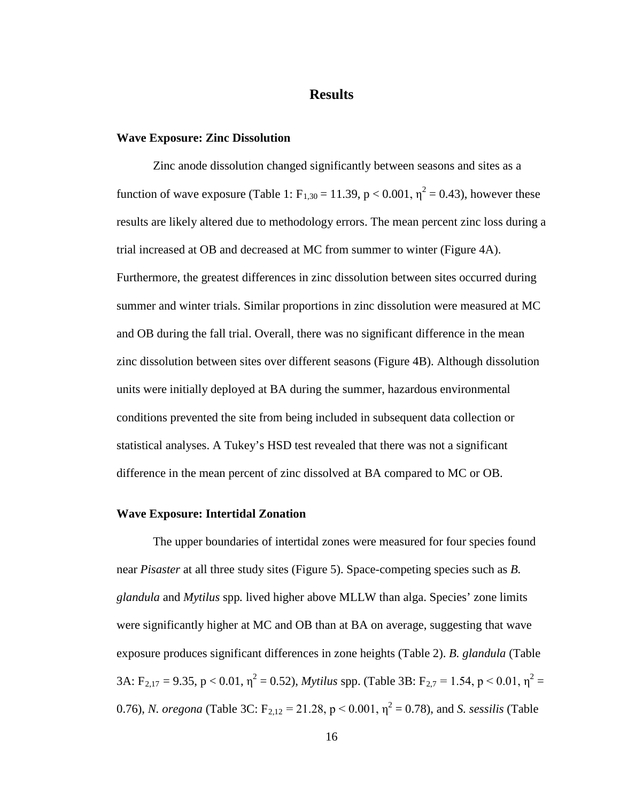### **Results**

#### **Wave Exposure: Zinc Dissolution**

Zinc anode dissolution changed significantly between seasons and sites as a function of wave exposure (Table 1:  $F_{1,30} = 11.39$ , p < 0.001,  $\eta^2 = 0.43$ ), however these results are likely altered due to methodology errors. The mean percent zinc loss during a trial increased at OB and decreased at MC from summer to winter (Figure 4A). Furthermore, the greatest differences in zinc dissolution between sites occurred during summer and winter trials. Similar proportions in zinc dissolution were measured at MC and OB during the fall trial. Overall, there was no significant difference in the mean zinc dissolution between sites over different seasons (Figure 4B). Although dissolution units were initially deployed at BA during the summer, hazardous environmental conditions prevented the site from being included in subsequent data collection or statistical analyses. A Tukey's HSD test revealed that there was not a significant difference in the mean percent of zinc dissolved at BA compared to MC or OB.

#### **Wave Exposure: Intertidal Zonation**

The upper boundaries of intertidal zones were measured for four species found near *Pisaster* at all three study sites (Figure 5). Space-competing species such as *B. glandula* and *Mytilus* spp*.* lived higher above MLLW than alga. Species' zone limits were significantly higher at MC and OB than at BA on average, suggesting that wave exposure produces significant differences in zone heights (Table 2). *B. glandula* (Table 3A: F<sub>2,17</sub> = 9.35, p < 0.01,  $\eta^2$  = 0.52), *Mytilus* spp. (Table 3B: F<sub>2,7</sub> = 1.54, p < 0.01,  $\eta^2$  = 0.76), *N. oregona* (Table 3C:  $F_{2,12} = 21.28$ ,  $p < 0.001$ ,  $\eta^2 = 0.78$ ), and *S. sessilis* (Table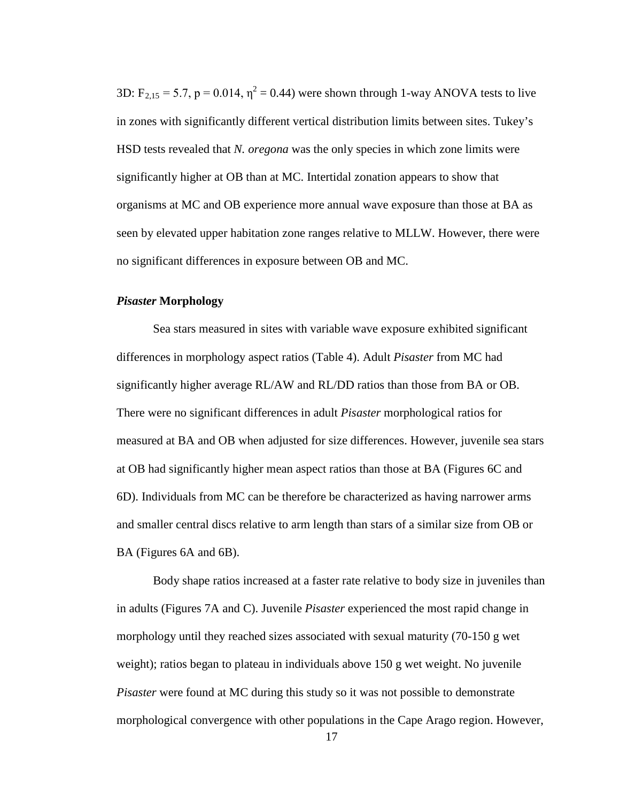3D:  $F_{2,15} = 5.7$ ,  $p = 0.014$ ,  $\eta^2 = 0.44$ ) were shown through 1-way ANOVA tests to live in zones with significantly different vertical distribution limits between sites. Tukey's HSD tests revealed that *N. oregona* was the only species in which zone limits were significantly higher at OB than at MC. Intertidal zonation appears to show that organisms at MC and OB experience more annual wave exposure than those at BA as seen by elevated upper habitation zone ranges relative to MLLW. However, there were no significant differences in exposure between OB and MC.

### *Pisaster* **Morphology**

Sea stars measured in sites with variable wave exposure exhibited significant differences in morphology aspect ratios (Table 4). Adult *Pisaster* from MC had significantly higher average RL/AW and RL/DD ratios than those from BA or OB. There were no significant differences in adult *Pisaster* morphological ratios for measured at BA and OB when adjusted for size differences. However, juvenile sea stars at OB had significantly higher mean aspect ratios than those at BA (Figures 6C and 6D). Individuals from MC can be therefore be characterized as having narrower arms and smaller central discs relative to arm length than stars of a similar size from OB or BA (Figures 6A and 6B).

Body shape ratios increased at a faster rate relative to body size in juveniles than in adults (Figures 7A and C). Juvenile *Pisaster* experienced the most rapid change in morphology until they reached sizes associated with sexual maturity (70-150 g wet weight); ratios began to plateau in individuals above 150 g wet weight. No juvenile *Pisaster* were found at MC during this study so it was not possible to demonstrate morphological convergence with other populations in the Cape Arago region. However,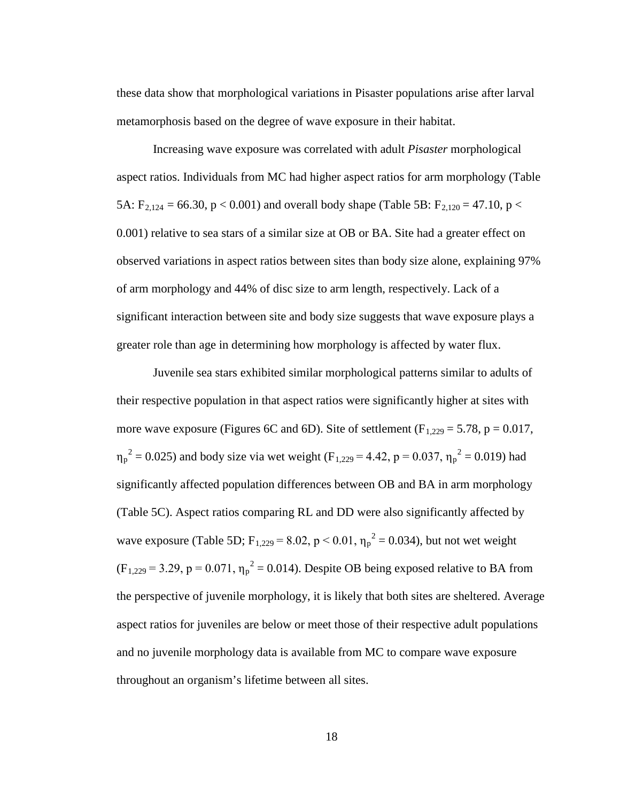these data show that morphological variations in Pisaster populations arise after larval metamorphosis based on the degree of wave exposure in their habitat.

Increasing wave exposure was correlated with adult *Pisaster* morphological aspect ratios. Individuals from MC had higher aspect ratios for arm morphology (Table 5A:  $F_{2,124} = 66.30$ ,  $p < 0.001$ ) and overall body shape (Table 5B:  $F_{2,120} = 47.10$ ,  $p <$ 0.001) relative to sea stars of a similar size at OB or BA. Site had a greater effect on observed variations in aspect ratios between sites than body size alone, explaining 97% of arm morphology and 44% of disc size to arm length, respectively. Lack of a significant interaction between site and body size suggests that wave exposure plays a greater role than age in determining how morphology is affected by water flux.

Juvenile sea stars exhibited similar morphological patterns similar to adults of their respective population in that aspect ratios were significantly higher at sites with more wave exposure (Figures 6C and 6D). Site of settlement ( $F_{1,229} = 5.78$ ,  $p = 0.017$ ,  $\eta_p^2 = 0.025$ ) and body size via wet weight (F<sub>1,229</sub> = 4.42, p = 0.037,  $\eta_p^2 = 0.019$ ) had significantly affected population differences between OB and BA in arm morphology (Table 5C). Aspect ratios comparing RL and DD were also significantly affected by wave exposure (Table 5D;  $F_{1,229} = 8.02$ , p < 0.01,  $\eta_p^2 = 0.034$ ), but not wet weight  $(F_{1,229} = 3.29, p = 0.071, \eta_p^2 = 0.014)$ . Despite OB being exposed relative to BA from the perspective of juvenile morphology, it is likely that both sites are sheltered. Average aspect ratios for juveniles are below or meet those of their respective adult populations and no juvenile morphology data is available from MC to compare wave exposure throughout an organism's lifetime between all sites.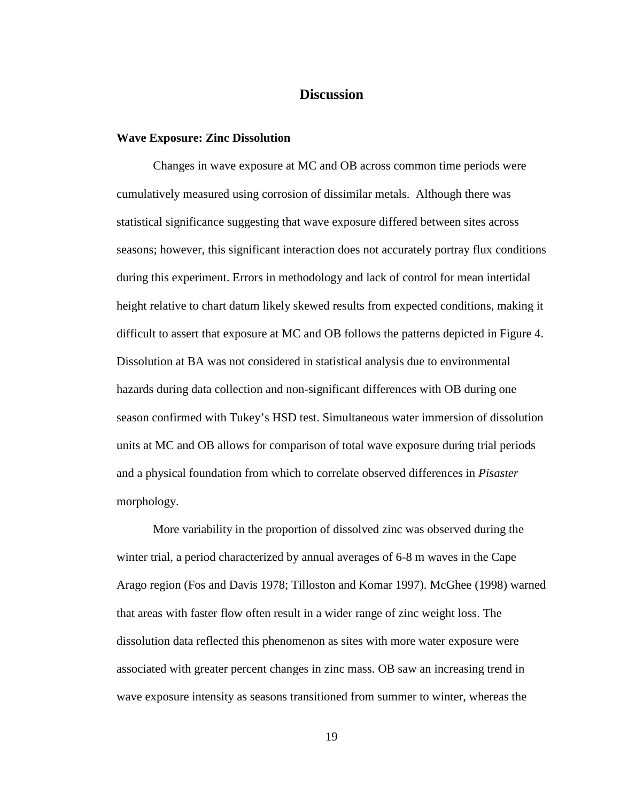# **Discussion**

#### **Wave Exposure: Zinc Dissolution**

Changes in wave exposure at MC and OB across common time periods were cumulatively measured using corrosion of dissimilar metals. Although there was statistical significance suggesting that wave exposure differed between sites across seasons; however, this significant interaction does not accurately portray flux conditions during this experiment. Errors in methodology and lack of control for mean intertidal height relative to chart datum likely skewed results from expected conditions, making it difficult to assert that exposure at MC and OB follows the patterns depicted in Figure 4. Dissolution at BA was not considered in statistical analysis due to environmental hazards during data collection and non-significant differences with OB during one season confirmed with Tukey's HSD test. Simultaneous water immersion of dissolution units at MC and OB allows for comparison of total wave exposure during trial periods and a physical foundation from which to correlate observed differences in *Pisaster* morphology.

More variability in the proportion of dissolved zinc was observed during the winter trial, a period characterized by annual averages of 6-8 m waves in the Cape Arago region (Fos and Davis 1978; Tilloston and Komar 1997). McGhee (1998) warned that areas with faster flow often result in a wider range of zinc weight loss. The dissolution data reflected this phenomenon as sites with more water exposure were associated with greater percent changes in zinc mass. OB saw an increasing trend in wave exposure intensity as seasons transitioned from summer to winter, whereas the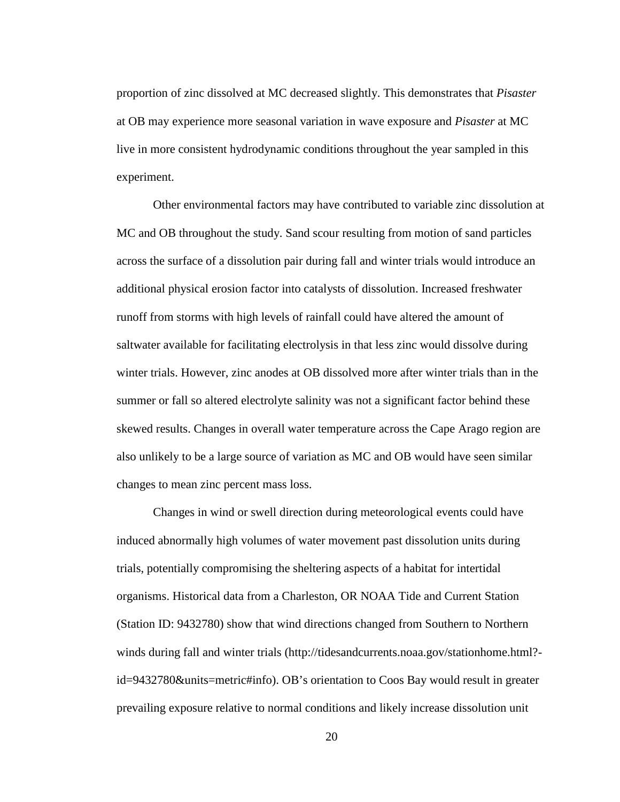proportion of zinc dissolved at MC decreased slightly. This demonstrates that *Pisaster*  at OB may experience more seasonal variation in wave exposure and *Pisaster* at MC live in more consistent hydrodynamic conditions throughout the year sampled in this experiment.

Other environmental factors may have contributed to variable zinc dissolution at MC and OB throughout the study. Sand scour resulting from motion of sand particles across the surface of a dissolution pair during fall and winter trials would introduce an additional physical erosion factor into catalysts of dissolution. Increased freshwater runoff from storms with high levels of rainfall could have altered the amount of saltwater available for facilitating electrolysis in that less zinc would dissolve during winter trials. However, zinc anodes at OB dissolved more after winter trials than in the summer or fall so altered electrolyte salinity was not a significant factor behind these skewed results. Changes in overall water temperature across the Cape Arago region are also unlikely to be a large source of variation as MC and OB would have seen similar changes to mean zinc percent mass loss.

Changes in wind or swell direction during meteorological events could have induced abnormally high volumes of water movement past dissolution units during trials, potentially compromising the sheltering aspects of a habitat for intertidal organisms. Historical data from a Charleston, OR NOAA Tide and Current Station (Station ID: 9432780) show that wind directions changed from Southern to Northern winds during fall and winter trials (http://tidesandcurrents.noaa.gov/stationhome.html?id=9432780&units=metric#info). OB's orientation to Coos Bay would result in greater prevailing exposure relative to normal conditions and likely increase dissolution unit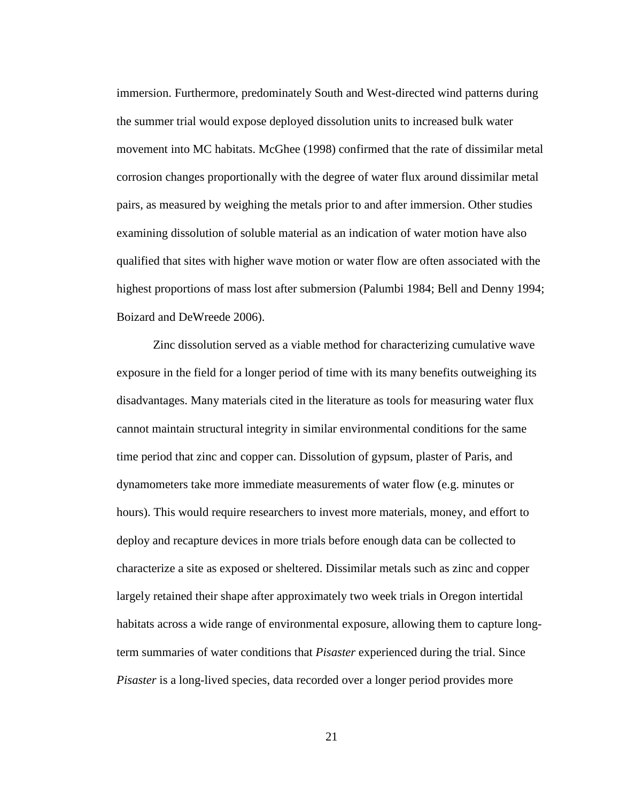immersion. Furthermore, predominately South and West-directed wind patterns during the summer trial would expose deployed dissolution units to increased bulk water movement into MC habitats. McGhee (1998) confirmed that the rate of dissimilar metal corrosion changes proportionally with the degree of water flux around dissimilar metal pairs, as measured by weighing the metals prior to and after immersion. Other studies examining dissolution of soluble material as an indication of water motion have also qualified that sites with higher wave motion or water flow are often associated with the highest proportions of mass lost after submersion (Palumbi 1984; Bell and Denny 1994; Boizard and DeWreede 2006).

Zinc dissolution served as a viable method for characterizing cumulative wave exposure in the field for a longer period of time with its many benefits outweighing its disadvantages. Many materials cited in the literature as tools for measuring water flux cannot maintain structural integrity in similar environmental conditions for the same time period that zinc and copper can. Dissolution of gypsum, plaster of Paris, and dynamometers take more immediate measurements of water flow (e.g. minutes or hours). This would require researchers to invest more materials, money, and effort to deploy and recapture devices in more trials before enough data can be collected to characterize a site as exposed or sheltered. Dissimilar metals such as zinc and copper largely retained their shape after approximately two week trials in Oregon intertidal habitats across a wide range of environmental exposure, allowing them to capture longterm summaries of water conditions that *Pisaster* experienced during the trial. Since *Pisaster* is a long-lived species, data recorded over a longer period provides more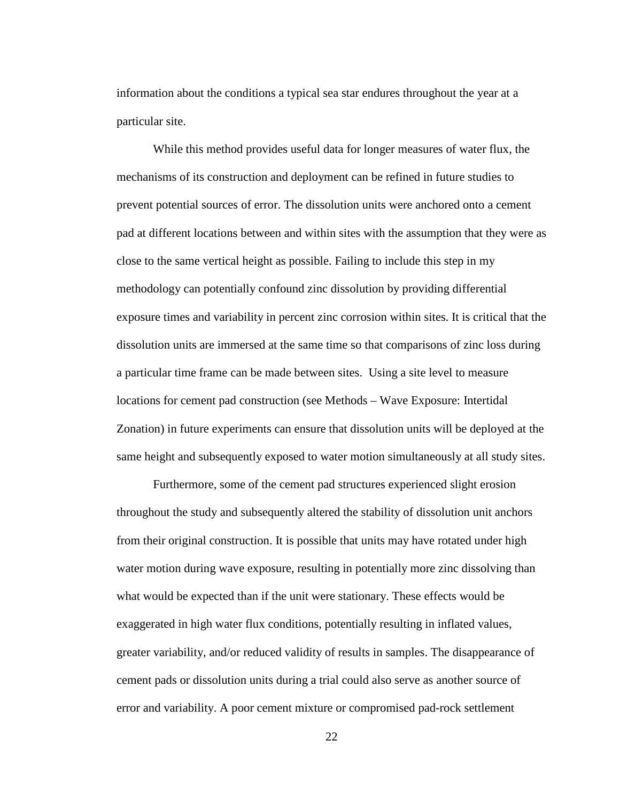information about the conditions a typical sea star endures throughout the year at a particular site.

While this method provides useful data for longer measures of water flux, the mechanisms of its construction and deployment can be refined in future studies to prevent potential sources of error. The dissolution units were anchored onto a cement pad at different locations between and within sites with the assumption that they were as close to the same vertical height as possible. Failing to include this step in my methodology can potentially confound zinc dissolution by providing differential exposure times and variability in percent zinc corrosion within sites. It is critical that the dissolution units are immersed at the same time so that comparisons of zinc loss during a particular time frame can be made between sites. Using a site level to measure locations for cement pad construction (see Methods – Wave Exposure: Intertidal Zonation) in future experiments can ensure that dissolution units will be deployed at the same height and subsequently exposed to water motion simultaneously at all study sites.

Furthermore, some of the cement pad structures experienced slight erosion throughout the study and subsequently altered the stability of dissolution unit anchors from their original construction. It is possible that units may have rotated under high water motion during wave exposure, resulting in potentially more zinc dissolving than what would be expected than if the unit were stationary. These effects would be exaggerated in high water flux conditions, potentially resulting in inflated values, greater variability, and/or reduced validity of results in samples. The disappearance of cement pads or dissolution units during a trial could also serve as another source of error and variability. A poor cement mixture or compromised pad-rock settlement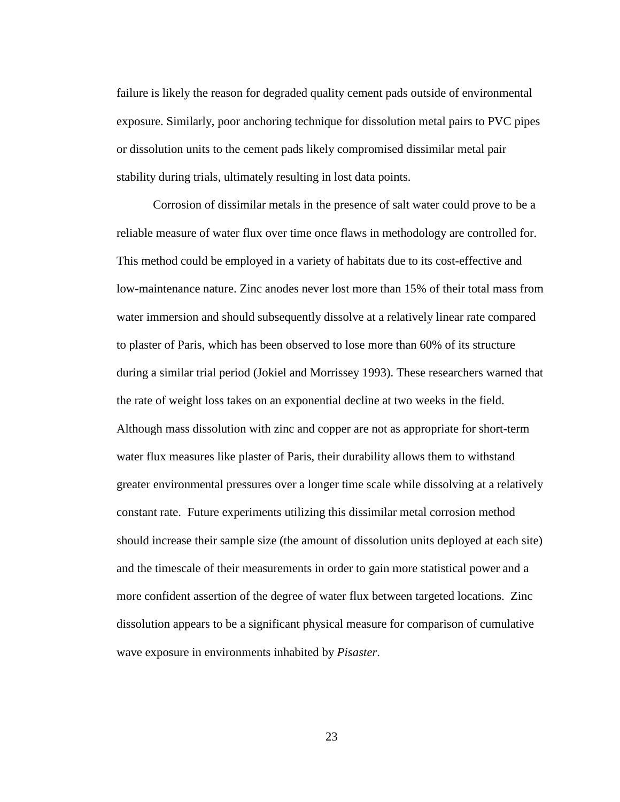failure is likely the reason for degraded quality cement pads outside of environmental exposure. Similarly, poor anchoring technique for dissolution metal pairs to PVC pipes or dissolution units to the cement pads likely compromised dissimilar metal pair stability during trials, ultimately resulting in lost data points.

Corrosion of dissimilar metals in the presence of salt water could prove to be a reliable measure of water flux over time once flaws in methodology are controlled for. This method could be employed in a variety of habitats due to its cost-effective and low-maintenance nature. Zinc anodes never lost more than 15% of their total mass from water immersion and should subsequently dissolve at a relatively linear rate compared to plaster of Paris, which has been observed to lose more than 60% of its structure during a similar trial period (Jokiel and Morrissey 1993). These researchers warned that the rate of weight loss takes on an exponential decline at two weeks in the field. Although mass dissolution with zinc and copper are not as appropriate for short-term water flux measures like plaster of Paris, their durability allows them to withstand greater environmental pressures over a longer time scale while dissolving at a relatively constant rate. Future experiments utilizing this dissimilar metal corrosion method should increase their sample size (the amount of dissolution units deployed at each site) and the timescale of their measurements in order to gain more statistical power and a more confident assertion of the degree of water flux between targeted locations. Zinc dissolution appears to be a significant physical measure for comparison of cumulative wave exposure in environments inhabited by *Pisaster*.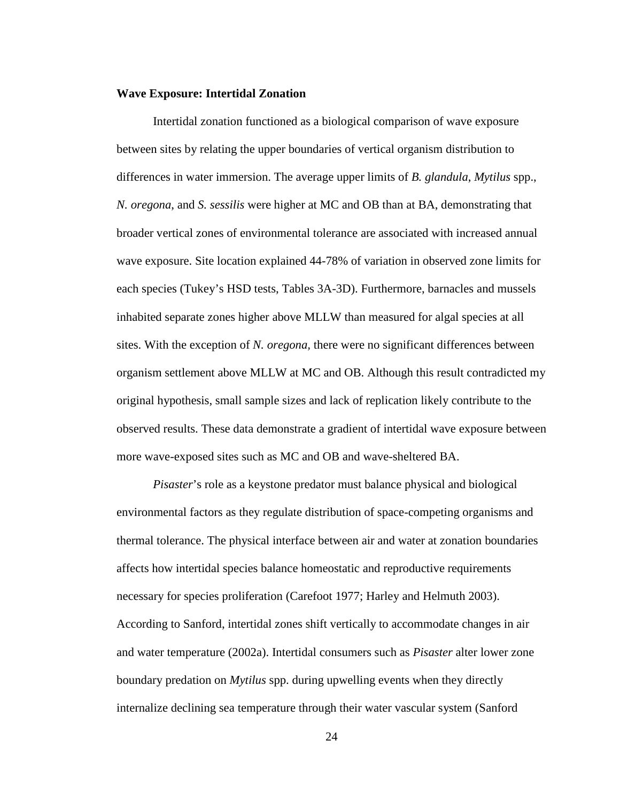#### **Wave Exposure: Intertidal Zonation**

Intertidal zonation functioned as a biological comparison of wave exposure between sites by relating the upper boundaries of vertical organism distribution to differences in water immersion. The average upper limits of *B. glandula*, *Mytilus* spp., *N. oregona*, and *S. sessilis* were higher at MC and OB than at BA, demonstrating that broader vertical zones of environmental tolerance are associated with increased annual wave exposure. Site location explained 44-78% of variation in observed zone limits for each species (Tukey's HSD tests, Tables 3A-3D). Furthermore, barnacles and mussels inhabited separate zones higher above MLLW than measured for algal species at all sites. With the exception of *N. oregona,* there were no significant differences between organism settlement above MLLW at MC and OB. Although this result contradicted my original hypothesis, small sample sizes and lack of replication likely contribute to the observed results. These data demonstrate a gradient of intertidal wave exposure between more wave-exposed sites such as MC and OB and wave-sheltered BA.

*Pisaster*'s role as a keystone predator must balance physical and biological environmental factors as they regulate distribution of space-competing organisms and thermal tolerance. The physical interface between air and water at zonation boundaries affects how intertidal species balance homeostatic and reproductive requirements necessary for species proliferation (Carefoot 1977; Harley and Helmuth 2003). According to Sanford, intertidal zones shift vertically to accommodate changes in air and water temperature (2002a). Intertidal consumers such as *Pisaster* alter lower zone boundary predation on *Mytilus* spp. during upwelling events when they directly internalize declining sea temperature through their water vascular system (Sanford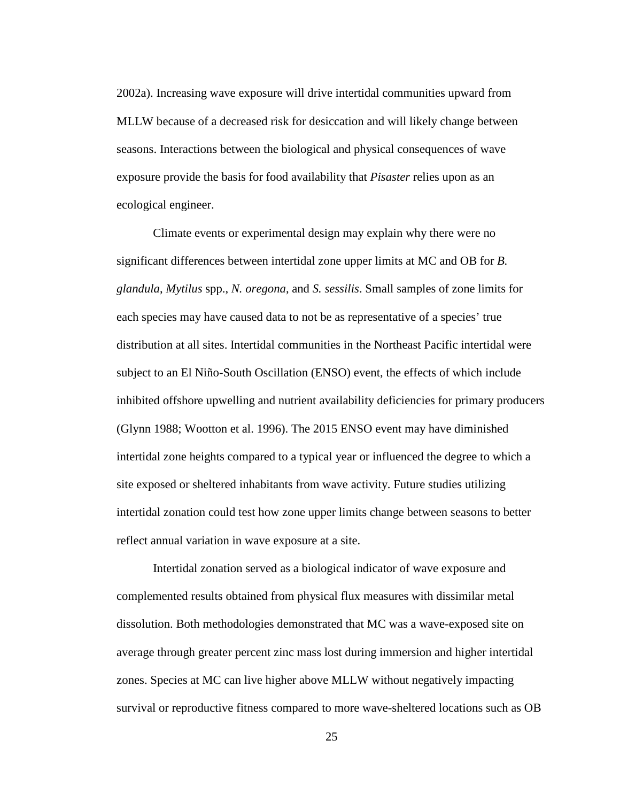2002a). Increasing wave exposure will drive intertidal communities upward from MLLW because of a decreased risk for desiccation and will likely change between seasons. Interactions between the biological and physical consequences of wave exposure provide the basis for food availability that *Pisaster* relies upon as an ecological engineer.

Climate events or experimental design may explain why there were no significant differences between intertidal zone upper limits at MC and OB for *B. glandula*, *Mytilus* spp., *N. oregona*, and *S. sessilis*. Small samples of zone limits for each species may have caused data to not be as representative of a species' true distribution at all sites. Intertidal communities in the Northeast Pacific intertidal were subject to an El Niño-South Oscillation (ENSO) event, the effects of which include inhibited offshore upwelling and nutrient availability deficiencies for primary producers (Glynn 1988; Wootton et al. 1996). The 2015 ENSO event may have diminished intertidal zone heights compared to a typical year or influenced the degree to which a site exposed or sheltered inhabitants from wave activity. Future studies utilizing intertidal zonation could test how zone upper limits change between seasons to better reflect annual variation in wave exposure at a site.

Intertidal zonation served as a biological indicator of wave exposure and complemented results obtained from physical flux measures with dissimilar metal dissolution. Both methodologies demonstrated that MC was a wave-exposed site on average through greater percent zinc mass lost during immersion and higher intertidal zones. Species at MC can live higher above MLLW without negatively impacting survival or reproductive fitness compared to more wave-sheltered locations such as OB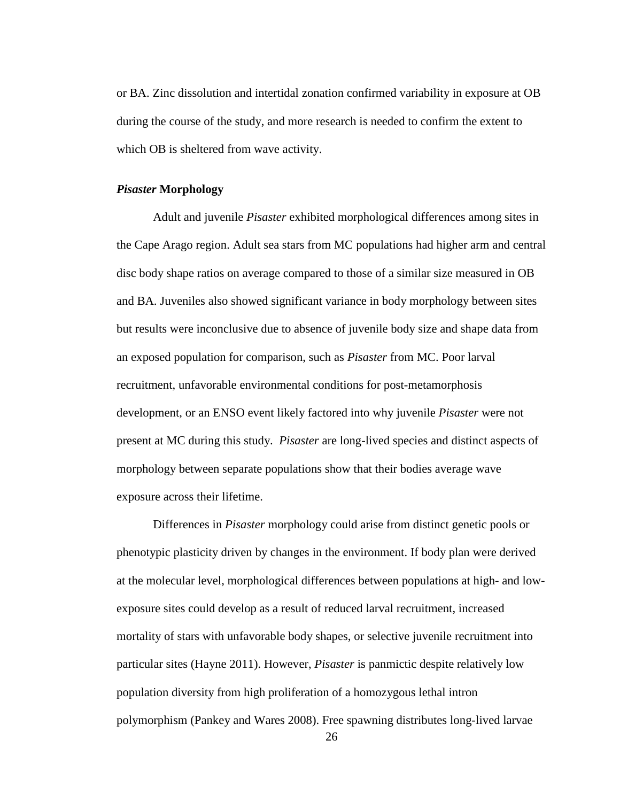or BA. Zinc dissolution and intertidal zonation confirmed variability in exposure at OB during the course of the study, and more research is needed to confirm the extent to which OB is sheltered from wave activity.

#### *Pisaster* **Morphology**

Adult and juvenile *Pisaster* exhibited morphological differences among sites in the Cape Arago region. Adult sea stars from MC populations had higher arm and central disc body shape ratios on average compared to those of a similar size measured in OB and BA. Juveniles also showed significant variance in body morphology between sites but results were inconclusive due to absence of juvenile body size and shape data from an exposed population for comparison, such as *Pisaster* from MC. Poor larval recruitment, unfavorable environmental conditions for post-metamorphosis development, or an ENSO event likely factored into why juvenile *Pisaster* were not present at MC during this study. *Pisaster* are long-lived species and distinct aspects of morphology between separate populations show that their bodies average wave exposure across their lifetime.

Differences in *Pisaster* morphology could arise from distinct genetic pools or phenotypic plasticity driven by changes in the environment. If body plan were derived at the molecular level, morphological differences between populations at high- and lowexposure sites could develop as a result of reduced larval recruitment, increased mortality of stars with unfavorable body shapes, or selective juvenile recruitment into particular sites (Hayne 2011). However, *Pisaster* is panmictic despite relatively low population diversity from high proliferation of a homozygous lethal intron polymorphism (Pankey and Wares 2008). Free spawning distributes long-lived larvae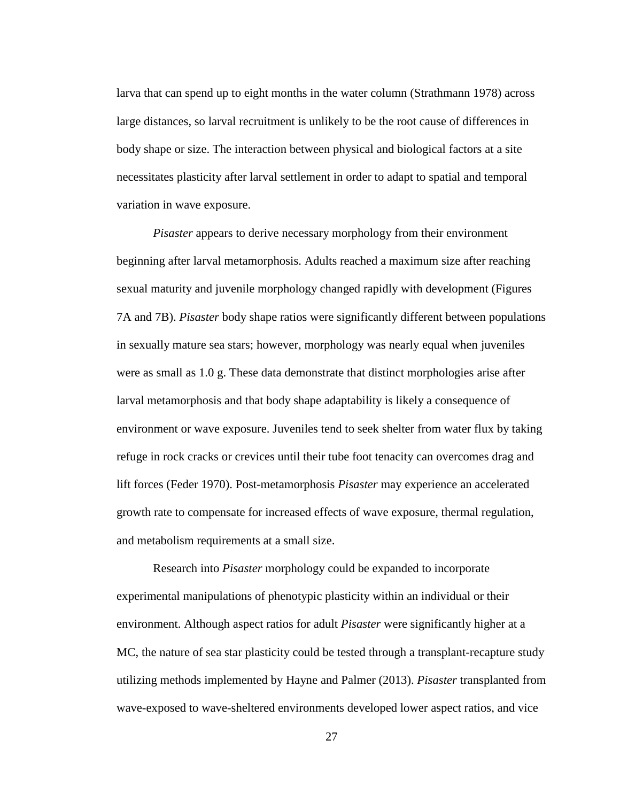larva that can spend up to eight months in the water column (Strathmann 1978) across large distances, so larval recruitment is unlikely to be the root cause of differences in body shape or size. The interaction between physical and biological factors at a site necessitates plasticity after larval settlement in order to adapt to spatial and temporal variation in wave exposure.

*Pisaster* appears to derive necessary morphology from their environment beginning after larval metamorphosis. Adults reached a maximum size after reaching sexual maturity and juvenile morphology changed rapidly with development (Figures 7A and 7B). *Pisaster* body shape ratios were significantly different between populations in sexually mature sea stars; however, morphology was nearly equal when juveniles were as small as 1.0 g. These data demonstrate that distinct morphologies arise after larval metamorphosis and that body shape adaptability is likely a consequence of environment or wave exposure. Juveniles tend to seek shelter from water flux by taking refuge in rock cracks or crevices until their tube foot tenacity can overcomes drag and lift forces (Feder 1970). Post-metamorphosis *Pisaster* may experience an accelerated growth rate to compensate for increased effects of wave exposure, thermal regulation, and metabolism requirements at a small size.

Research into *Pisaster* morphology could be expanded to incorporate experimental manipulations of phenotypic plasticity within an individual or their environment. Although aspect ratios for adult *Pisaster* were significantly higher at a MC, the nature of sea star plasticity could be tested through a transplant-recapture study utilizing methods implemented by Hayne and Palmer (2013). *Pisaster* transplanted from wave-exposed to wave-sheltered environments developed lower aspect ratios, and vice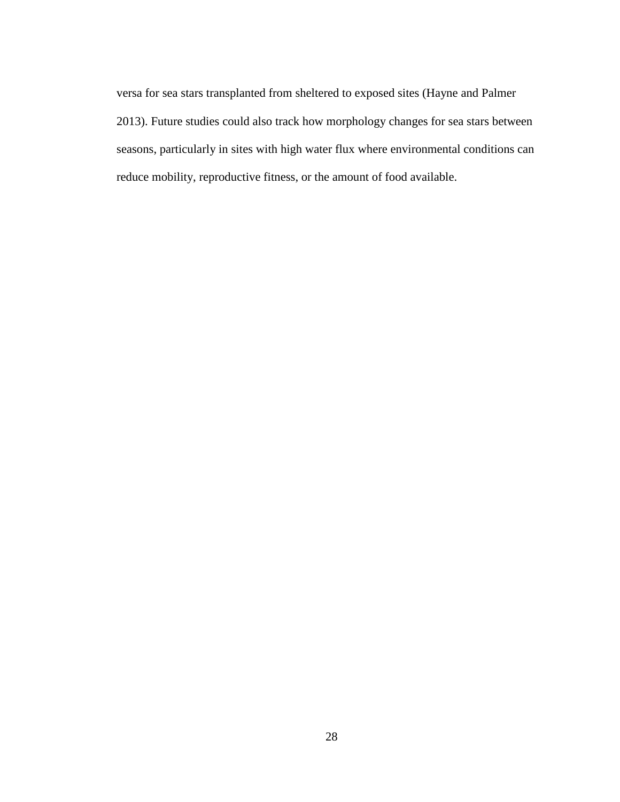versa for sea stars transplanted from sheltered to exposed sites (Hayne and Palmer 2013). Future studies could also track how morphology changes for sea stars between seasons, particularly in sites with high water flux where environmental conditions can reduce mobility, reproductive fitness, or the amount of food available.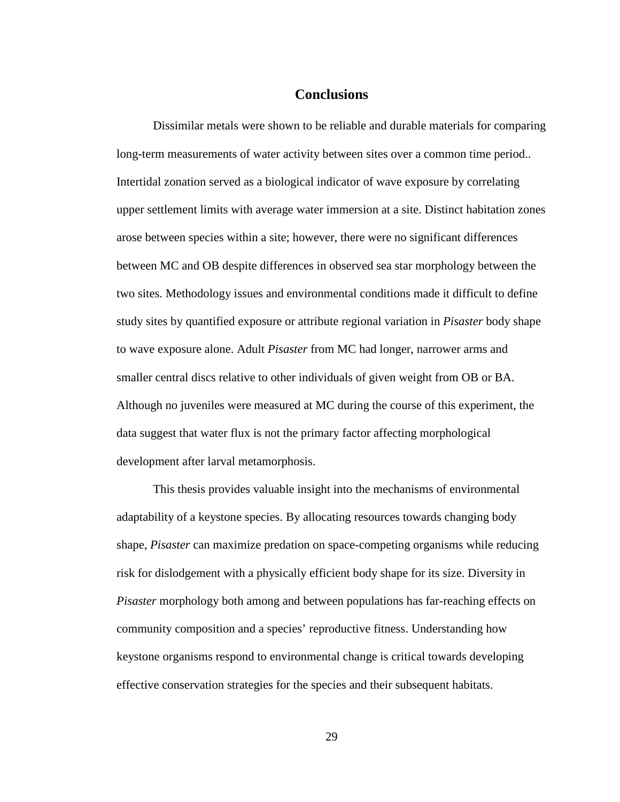# **Conclusions**

Dissimilar metals were shown to be reliable and durable materials for comparing long-term measurements of water activity between sites over a common time period.. Intertidal zonation served as a biological indicator of wave exposure by correlating upper settlement limits with average water immersion at a site. Distinct habitation zones arose between species within a site; however, there were no significant differences between MC and OB despite differences in observed sea star morphology between the two sites. Methodology issues and environmental conditions made it difficult to define study sites by quantified exposure or attribute regional variation in *Pisaster* body shape to wave exposure alone. Adult *Pisaster* from MC had longer, narrower arms and smaller central discs relative to other individuals of given weight from OB or BA. Although no juveniles were measured at MC during the course of this experiment, the data suggest that water flux is not the primary factor affecting morphological development after larval metamorphosis.

This thesis provides valuable insight into the mechanisms of environmental adaptability of a keystone species. By allocating resources towards changing body shape, *Pisaster* can maximize predation on space-competing organisms while reducing risk for dislodgement with a physically efficient body shape for its size. Diversity in *Pisaster* morphology both among and between populations has far-reaching effects on community composition and a species' reproductive fitness. Understanding how keystone organisms respond to environmental change is critical towards developing effective conservation strategies for the species and their subsequent habitats.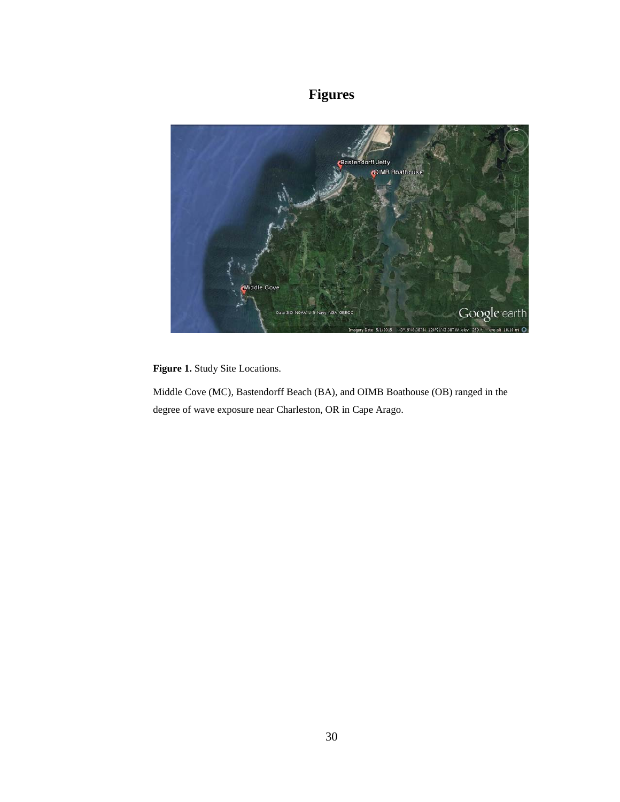# **Figures**



<span id="page-36-0"></span>**Figure 1.** Study Site Locations.

Middle Cove (MC), Bastendorff Beach (BA), and OIMB Boathouse (OB) ranged in the degree of wave exposure near Charleston, OR in Cape Arago.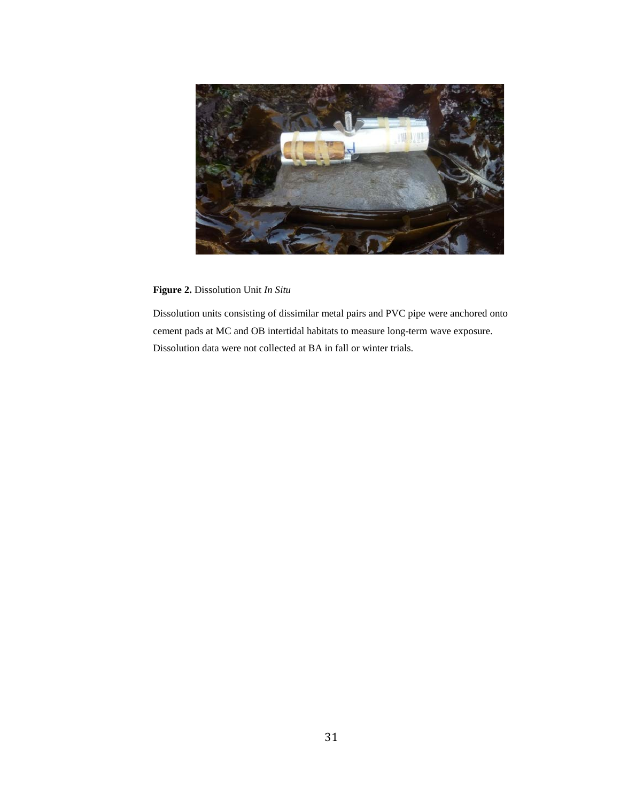

**Figure 2.** Dissolution Unit *In Situ*

<span id="page-37-0"></span>Dissolution units consisting of dissimilar metal pairs and PVC pipe were anchored onto cement pads at MC and OB intertidal habitats to measure long-term wave exposure. Dissolution data were not collected at BA in fall or winter trials.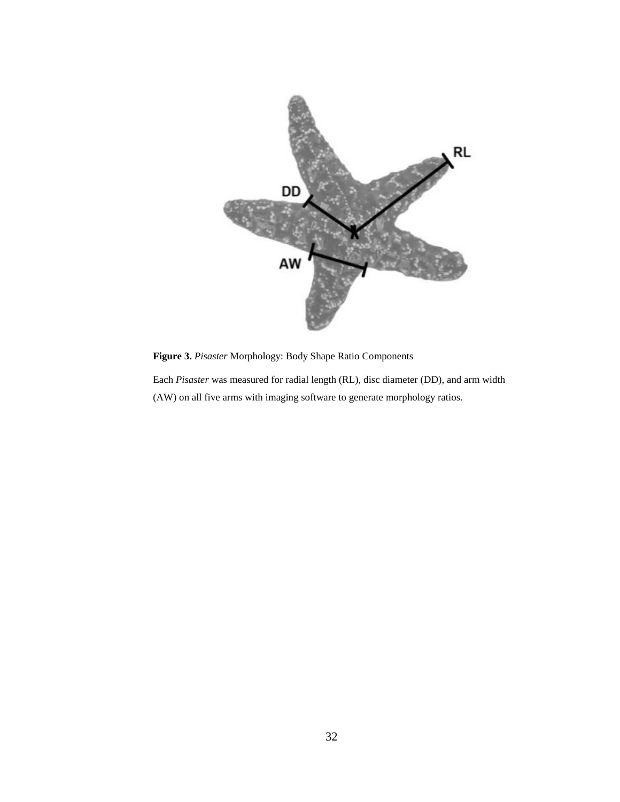

<span id="page-38-0"></span>**Figure 3.** *Pisaster* Morphology: Body Shape Ratio Components

Each *Pisaster* was measured for radial length (RL), disc diameter (DD), and arm width (AW) on all five arms with imaging software to generate morphology ratios.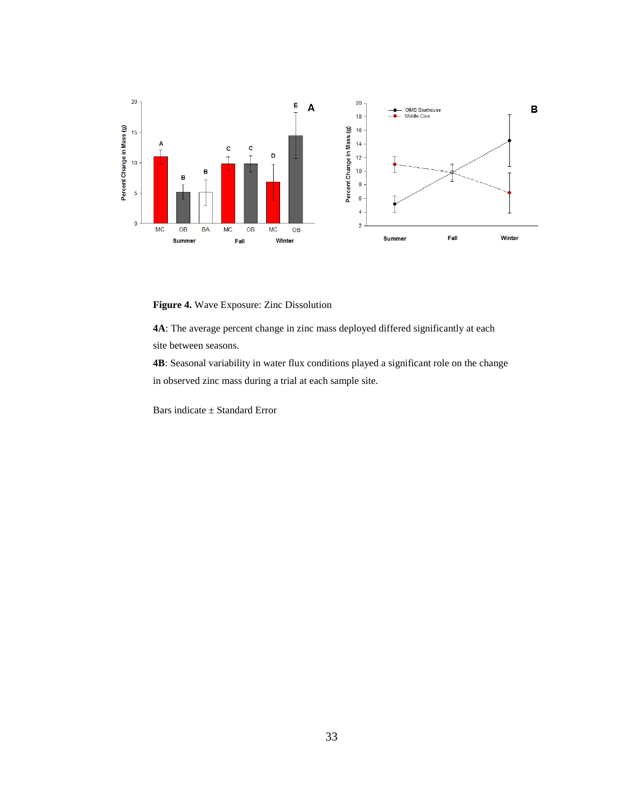

<span id="page-39-0"></span>**Figure 4.** Wave Exposure: Zinc Dissolution

**4A**: The average percent change in zinc mass deployed differed significantly at each site between seasons.

**4B**: Seasonal variability in water flux conditions played a significant role on the change in observed zinc mass during a trial at each sample site.

Bars indicate ± Standard Error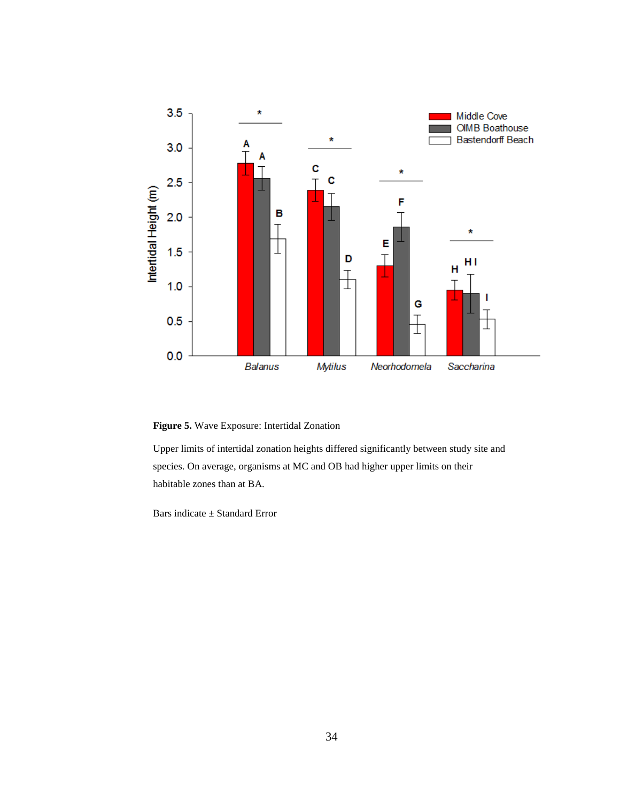

<span id="page-40-0"></span>**Figure 5.** Wave Exposure: Intertidal Zonation

Upper limits of intertidal zonation heights differed significantly between study site and species. On average, organisms at MC and OB had higher upper limits on their habitable zones than at BA.

Bars indicate ± Standard Error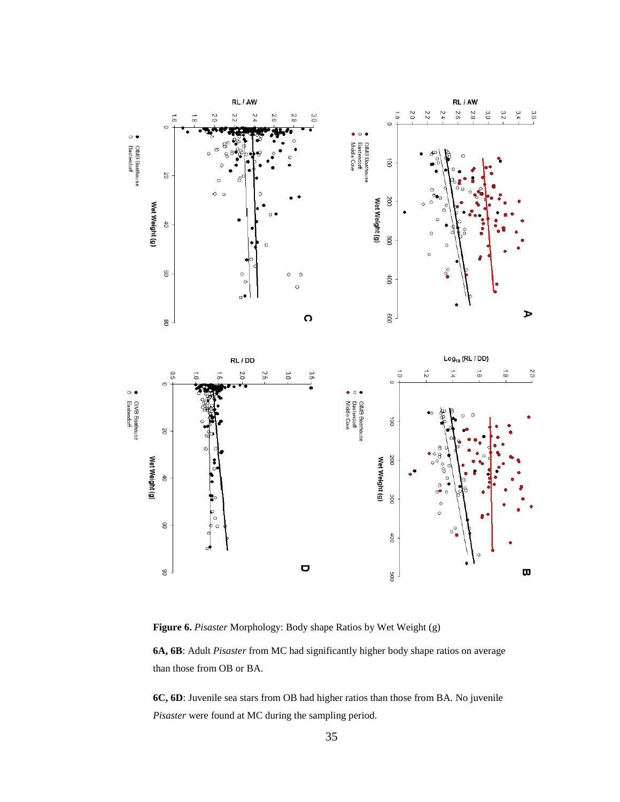

<span id="page-41-0"></span>**Figure 6.** *Pisaster* Morphology: Body shape Ratios by Wet Weight (g)

**6A, 6B**: Adult *Pisaster* from MC had significantly higher body shape ratios on average than those from OB or BA.

**6C, 6D**: Juvenile sea stars from OB had higher ratios than those from BA. No juvenile *Pisaster* were found at MC during the sampling period.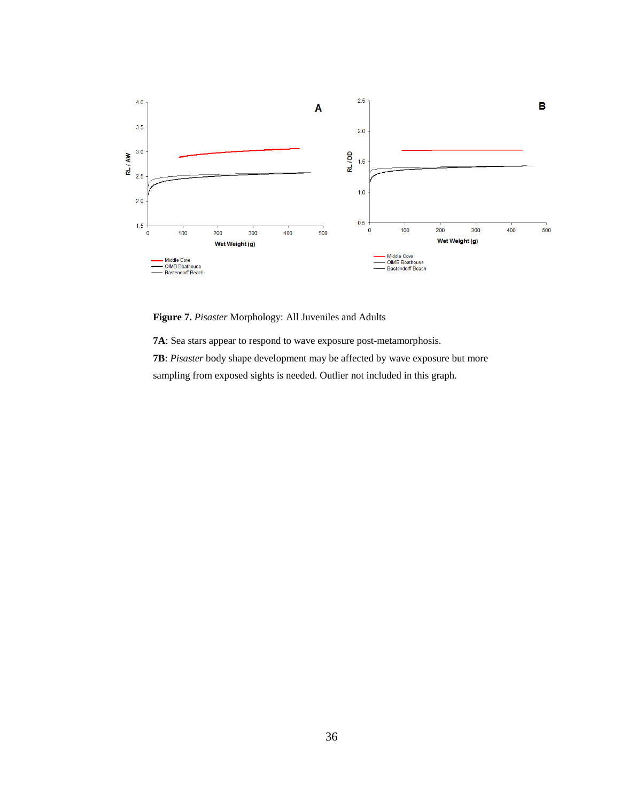

<span id="page-42-0"></span>**Figure 7.** *Pisaster* Morphology: All Juveniles and Adults

**7A**: Sea stars appear to respond to wave exposure post-metamorphosis.

**7B**: *Pisaster* body shape development may be affected by wave exposure but more

sampling from exposed sights is needed. Outlier not included in this graph.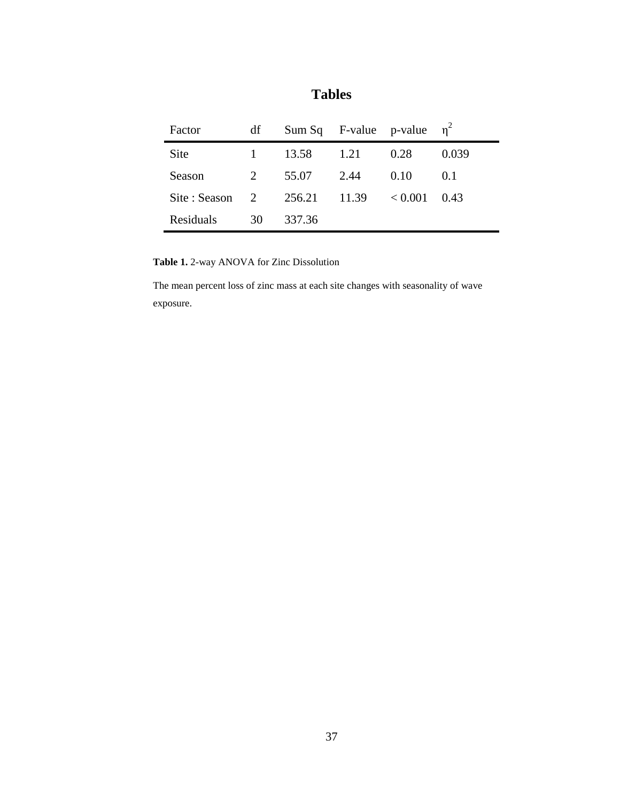| Factor        | df |        | Sum Sq F-value p-value $\eta^2$ |         |       |  |
|---------------|----|--------|---------------------------------|---------|-------|--|
| <b>Site</b>   |    | 13.58  | 1.21                            | 0.28    | 0.039 |  |
| Season        | 2  | 55.07  | 2.44                            | 0.10    | 0.1   |  |
| Site : Season | 2  | 256.21 | 11.39                           | < 0.001 | 0.43  |  |
| Residuals     | 30 | 337.36 |                                 |         |       |  |

**Tables**

<span id="page-43-0"></span>**Table 1.** 2-way ANOVA for Zinc Dissolution

The mean percent loss of zinc mass at each site changes with seasonality of wave exposure.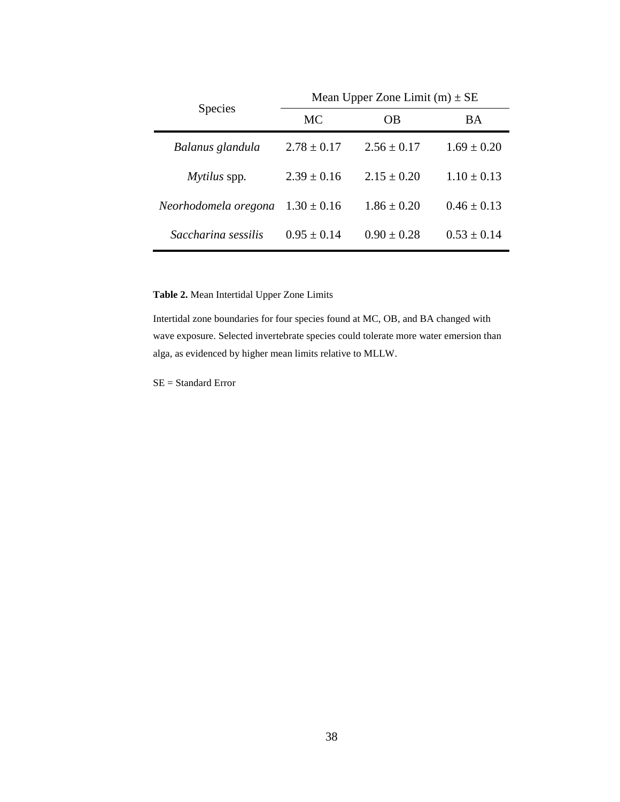|                      | Mean Upper Zone Limit $(m) \pm SE$ |                 |                 |  |  |  |  |
|----------------------|------------------------------------|-----------------|-----------------|--|--|--|--|
| <b>Species</b>       | <b>MC</b>                          | OВ              | BA              |  |  |  |  |
| Balanus glandula     | $2.78 \pm 0.17$                    | $2.56 \pm 0.17$ | $1.69 \pm 0.20$ |  |  |  |  |
| Mytilus spp.         | $2.39 \pm 0.16$                    | $2.15 + 0.20$   | $1.10 \pm 0.13$ |  |  |  |  |
| Neorhodomela oregona | $1.30 \pm 0.16$                    | $1.86 \pm 0.20$ | $0.46 \pm 0.13$ |  |  |  |  |
| Saccharina sessilis  | $0.95 + 0.14$                      | $0.90 \pm 0.28$ | $0.53 \pm 0.14$ |  |  |  |  |

<span id="page-44-0"></span>**Table 2.** Mean Intertidal Upper Zone Limits

Intertidal zone boundaries for four species found at MC, OB, and BA changed with wave exposure. Selected invertebrate species could tolerate more water emersion than alga, as evidenced by higher mean limits relative to MLLW.

SE = Standard Error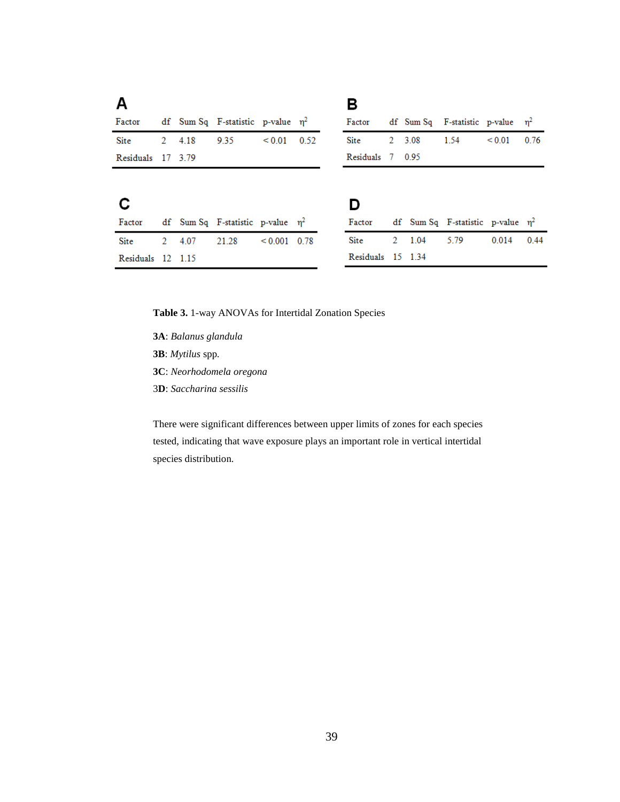|  |                                                            |             |                                                                                                            | в      |  |                                                           |             |                                                                                  |
|--|------------------------------------------------------------|-------------|------------------------------------------------------------------------------------------------------------|--------|--|-----------------------------------------------------------|-------------|----------------------------------------------------------------------------------|
|  |                                                            |             |                                                                                                            | Factor |  |                                                           |             |                                                                                  |
|  | 9.35                                                       | ${}_{0.01}$ |                                                                                                            | Site   |  | 1.54                                                      | ${}_{0.01}$ | 0.76                                                                             |
|  |                                                            |             |                                                                                                            |        |  |                                                           |             |                                                                                  |
|  |                                                            |             |                                                                                                            |        |  |                                                           |             |                                                                                  |
|  |                                                            |             |                                                                                                            |        |  |                                                           |             |                                                                                  |
|  |                                                            |             |                                                                                                            |        |  |                                                           |             |                                                                                  |
|  |                                                            |             |                                                                                                            | Factor |  |                                                           |             |                                                                                  |
|  | 21.28                                                      |             |                                                                                                            | Site   |  | 5.79                                                      | 0.014       | 0.44                                                                             |
|  |                                                            |             |                                                                                                            |        |  |                                                           |             |                                                                                  |
|  | 2 4.18<br>Residuals 17 3.79<br>2 4.07<br>Residuals 12 1.15 |             | df Sum Sq F-statistic p-value $\eta^2$<br>0.52<br>df Sum Sq F-statistic p-value $\eta^2$<br>$< 0.001$ 0.78 |        |  | 2 3.08<br>Residuals 7 0.95<br>2 1.04<br>Residuals 15 1.34 |             | df Sum Sq F-statistic p-value $\eta^2$<br>df Sum Sq F-statistic p-value $\eta^2$ |

<span id="page-45-0"></span>**Table 3.** 1-way ANOVAs for Intertidal Zonation Species

**3A**: *Balanus glandula* **3B**: *Mytilus* spp*.* **3C**: *Neorhodomela oregona* 3**D**: *Saccharina sessilis*

There were significant differences between upper limits of zones for each species tested, indicating that wave exposure plays an important role in vertical intertidal species distribution.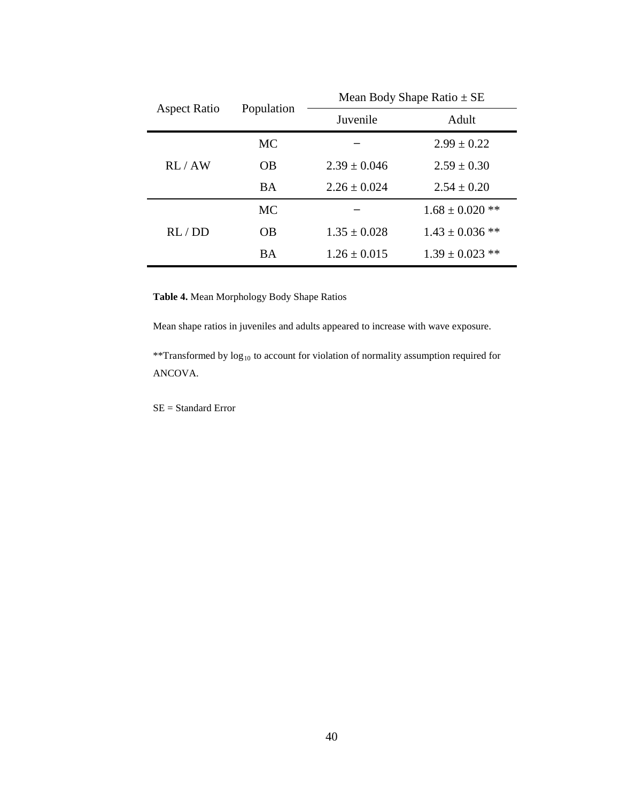| <b>Aspect Ratio</b> |            | Mean Body Shape Ratio $\pm$ SE |                     |  |  |  |  |
|---------------------|------------|--------------------------------|---------------------|--|--|--|--|
|                     | Population | Juvenile                       | Adult               |  |  |  |  |
|                     | <b>MC</b>  |                                | $2.99 \pm 0.22$     |  |  |  |  |
| RL/AW               | OB         | $2.39 + 0.046$                 | $2.59 + 0.30$       |  |  |  |  |
|                     | <b>BA</b>  | $2.26 \pm 0.024$               | $2.54 \pm 0.20$     |  |  |  |  |
|                     | <b>MC</b>  |                                | $1.68 \pm 0.020$ ** |  |  |  |  |
| RL/DD               | <b>OB</b>  | $1.35 \pm 0.028$               | $1.43 \pm 0.036$ ** |  |  |  |  |
|                     | BA         | $1.26 \pm 0.015$               | $1.39 \pm 0.023$ ** |  |  |  |  |

<span id="page-46-0"></span>**Table 4.** Mean Morphology Body Shape Ratios

Mean shape ratios in juveniles and adults appeared to increase with wave exposure.

\*\*Transformed by log10 to account for violation of normality assumption required for ANCOVA.

SE = Standard Error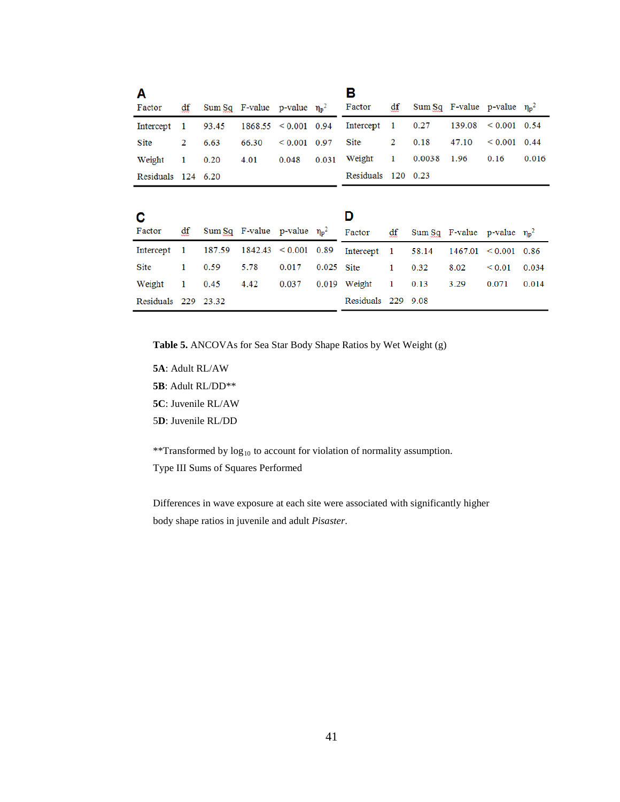| A<br>Factor          | df           |        | Sum Sq. F-value p-value $\eta_p^2$ |                          |       | в<br>Factor        | df           |        | Sum Sq F-value p-value $\eta_p^2$  |              |       |
|----------------------|--------------|--------|------------------------------------|--------------------------|-------|--------------------|--------------|--------|------------------------------------|--------------|-------|
| Intercept            | 1            | 93.45  |                                    | $1868.55 \le 0.001$ 0.94 |       | Intercept          | $\mathbf{1}$ | 0.27   | 139.08                             | < 0.001      | 0.54  |
| Site                 | 2            | 6.63   | 66.30                              | < 0.001                  | 0.97  | Site               | 2            | 0.18   | 47.10                              | < 0.001      | 0.44  |
| Weight               | 1            | 0.20   | 4.01                               | 0.048                    | 0.031 | Weight             | 1            | 0.0038 | 1.96                               | 0.16         | 0.016 |
| Residuals $124$ 6.20 |              |        |                                    |                          |       | Residuals 120 0.23 |              |        |                                    |              |       |
|                      |              |        |                                    |                          |       |                    |              |        |                                    |              |       |
| C                    |              |        |                                    |                          |       | D                  |              |        |                                    |              |       |
| Factor               | df           |        | Sum Sq. F-value p-value $\eta_p^2$ |                          |       | Factor             | df           |        | Sum Sq. F-value p-value $\eta_p^2$ |              |       |
| Intercept            | $\mathbf{1}$ | 187.59 | 1842.43                            | < 0.001                  | 0.89  | Intercept          | -1           | 58.14  | 1467.01                            | ${}_{0.001}$ | 0.86  |
| Site                 | 1            | 0.59   | 5.78                               | 0.017                    | 0.025 | <b>Site</b>        | 1            | 0.32   | 8.02                               | ${}_{0.01}$  | 0.034 |
| Weight               | 1            | 0.45   | 4.42                               | 0.037                    |       | 0.019 Weight       | 1            | 0.13   | 3.29                               | 0.071        | 0.014 |
| Residuals 229 23.32  |              |        |                                    |                          |       | Residuals 229 9.08 |              |        |                                    |              |       |

<span id="page-47-0"></span>**Table 5.** ANCOVAs for Sea Star Body Shape Ratios by Wet Weight (g)

**5A**: Adult RL/AW **5B**: Adult RL/DD\*\* **5C**: Juvenile RL/AW

5**D**: Juvenile RL/DD

\*\*Transformed by  $log_{10}$  to account for violation of normality assumption.

Type III Sums of Squares Performed

Differences in wave exposure at each site were associated with significantly higher body shape ratios in juvenile and adult *Pisaster*.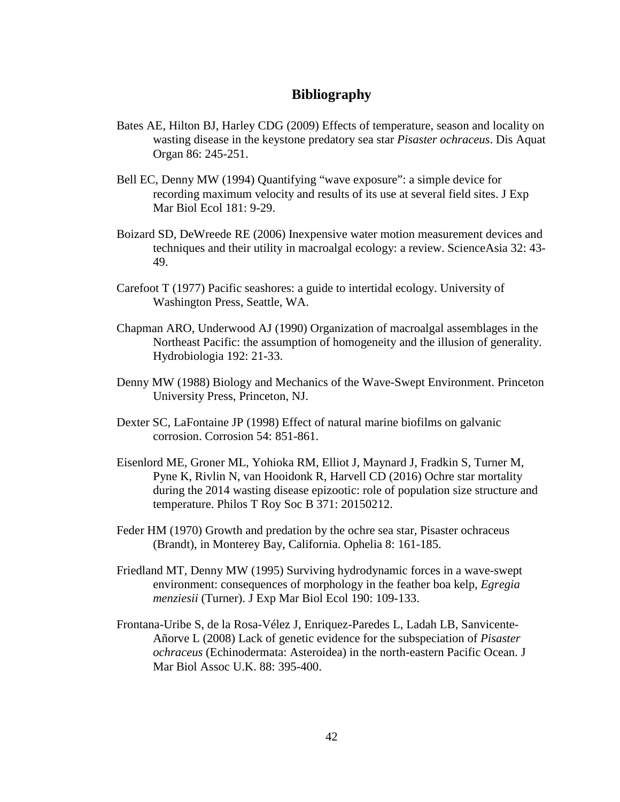# **Bibliography**

- Bates AE, Hilton BJ, Harley CDG (2009) Effects of temperature, season and locality on wasting disease in the keystone predatory sea star *Pisaster ochraceus*. Dis Aquat Organ 86: 245-251.
- Bell EC, Denny MW (1994) Quantifying "wave exposure": a simple device for recording maximum velocity and results of its use at several field sites. J Exp Mar Biol Ecol 181: 9-29.
- Boizard SD, DeWreede RE (2006) Inexpensive water motion measurement devices and techniques and their utility in macroalgal ecology: a review. ScienceAsia 32: 43- 49.
- Carefoot T (1977) Pacific seashores: a guide to intertidal ecology. University of Washington Press, Seattle, WA.
- Chapman ARO, Underwood AJ (1990) Organization of macroalgal assemblages in the Northeast Pacific: the assumption of homogeneity and the illusion of generality. Hydrobiologia 192: 21-33.
- Denny MW (1988) Biology and Mechanics of the Wave-Swept Environment. Princeton University Press, Princeton, NJ.
- Dexter SC, LaFontaine JP (1998) Effect of natural marine biofilms on galvanic corrosion. Corrosion 54: 851-861.
- Eisenlord ME, Groner ML, Yohioka RM, Elliot J, Maynard J, Fradkin S, Turner M, Pyne K, Rivlin N, van Hooidonk R, Harvell CD (2016) Ochre star mortality during the 2014 wasting disease epizootic: role of population size structure and temperature. Philos T Roy Soc B 371: 20150212.
- Feder HM (1970) Growth and predation by the ochre sea star, Pisaster ochraceus (Brandt), in Monterey Bay, California. Ophelia 8: 161-185.
- Friedland MT, Denny MW (1995) Surviving hydrodynamic forces in a wave-swept environment: consequences of morphology in the feather boa kelp, *Egregia menziesii* (Turner). J Exp Mar Biol Ecol 190: 109-133.
- Frontana-Uribe S, de la Rosa-Vélez J, Enriquez-Paredes L, Ladah LB, Sanvicente-Añorve L (2008) Lack of genetic evidence for the subspeciation of *Pisaster ochraceus* (Echinodermata: Asteroidea) in the north-eastern Pacific Ocean. J Mar Biol Assoc U.K. 88: 395-400.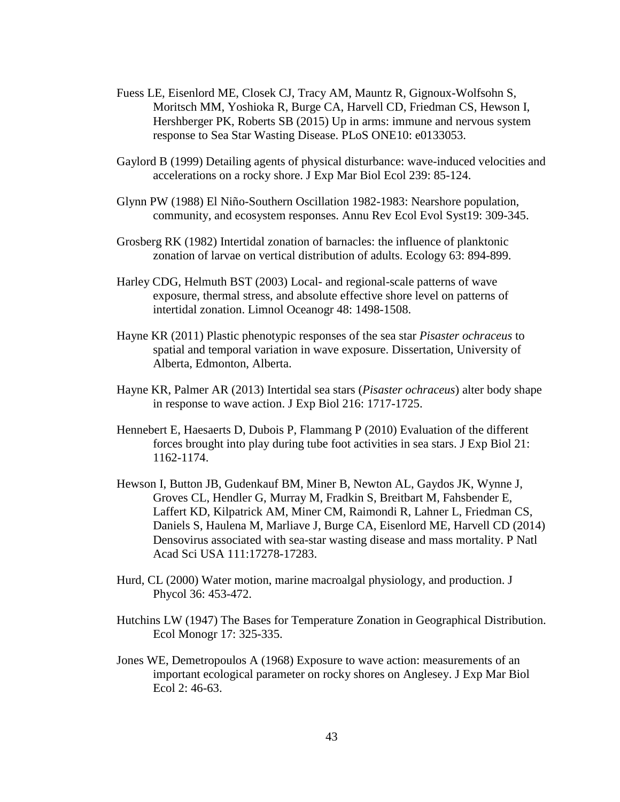- Fuess LE, Eisenlord ME, Closek CJ, Tracy AM, Mauntz R, Gignoux-Wolfsohn S, Moritsch MM, Yoshioka R, Burge CA, Harvell CD, Friedman CS, Hewson I, Hershberger PK, Roberts SB (2015) Up in arms: immune and nervous system response to Sea Star Wasting Disease. PLoS ONE10: e0133053.
- Gaylord B (1999) Detailing agents of physical disturbance: wave-induced velocities and accelerations on a rocky shore. J Exp Mar Biol Ecol 239: 85-124.
- Glynn PW (1988) El Niño-Southern Oscillation 1982-1983: Nearshore population, community, and ecosystem responses. Annu Rev Ecol Evol Syst19: 309-345.
- Grosberg RK (1982) Intertidal zonation of barnacles: the influence of planktonic zonation of larvae on vertical distribution of adults. Ecology 63: 894-899.
- Harley CDG, Helmuth BST (2003) Local- and regional-scale patterns of wave exposure, thermal stress, and absolute effective shore level on patterns of intertidal zonation. Limnol Oceanogr 48: 1498-1508.
- Hayne KR (2011) Plastic phenotypic responses of the sea star *Pisaster ochraceus* to spatial and temporal variation in wave exposure. Dissertation, University of Alberta, Edmonton, Alberta.
- Hayne KR, Palmer AR (2013) Intertidal sea stars (*Pisaster ochraceus*) alter body shape in response to wave action. J Exp Biol 216: 1717-1725.
- Hennebert E, Haesaerts D, Dubois P, Flammang P (2010) Evaluation of the different forces brought into play during tube foot activities in sea stars. J Exp Biol 21: 1162-1174.
- Hewson I, Button JB, Gudenkauf BM, Miner B, Newton AL, Gaydos JK, Wynne J, Groves CL, Hendler G, Murray M, Fradkin S, Breitbart M, Fahsbender E, Laffert KD, Kilpatrick AM, Miner CM, Raimondi R, Lahner L, Friedman CS, Daniels S, Haulena M, Marliave J, Burge CA, Eisenlord ME, Harvell CD (2014) Densovirus associated with sea-star wasting disease and mass mortality. P Natl Acad Sci USA 111:17278-17283.
- Hurd, CL (2000) Water motion, marine macroalgal physiology, and production. J Phycol 36: 453-472.
- Hutchins LW (1947) The Bases for Temperature Zonation in Geographical Distribution. Ecol Monogr 17: 325-335.
- Jones WE, Demetropoulos A (1968) Exposure to wave action: measurements of an important ecological parameter on rocky shores on Anglesey. J Exp Mar Biol Ecol 2: 46-63.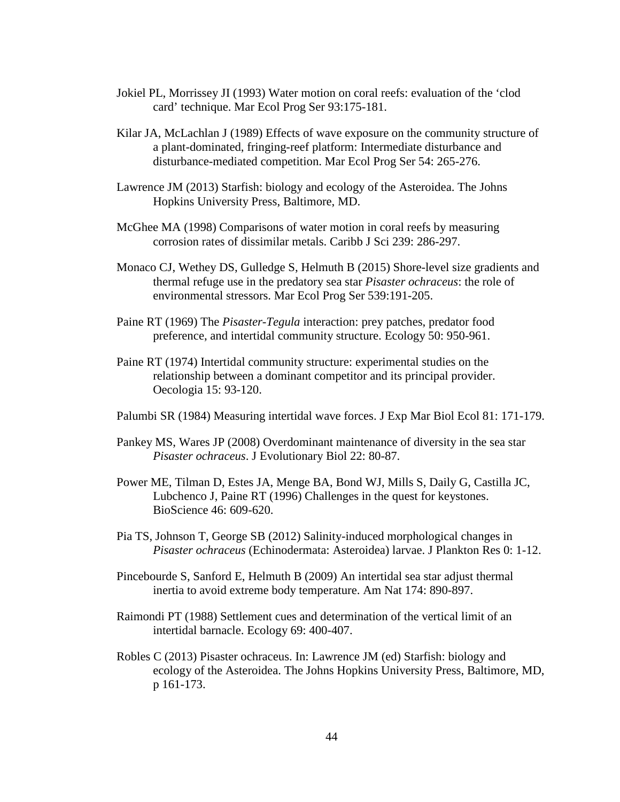- Jokiel PL, Morrissey JI (1993) Water motion on coral reefs: evaluation of the 'clod card' technique. Mar Ecol Prog Ser 93:175-181.
- Kilar JA, McLachlan J (1989) Effects of wave exposure on the community structure of a plant-dominated, fringing-reef platform: Intermediate disturbance and disturbance-mediated competition. Mar Ecol Prog Ser 54: 265-276.
- Lawrence JM (2013) Starfish: biology and ecology of the Asteroidea. The Johns Hopkins University Press, Baltimore, MD.
- McGhee MA (1998) Comparisons of water motion in coral reefs by measuring corrosion rates of dissimilar metals. Caribb J Sci 239: 286-297.
- Monaco CJ, Wethey DS, Gulledge S, Helmuth B (2015) Shore-level size gradients and thermal refuge use in the predatory sea star *Pisaster ochraceus*: the role of environmental stressors. Mar Ecol Prog Ser 539:191-205.
- Paine RT (1969) The *Pisaster-Tegula* interaction: prey patches, predator food preference, and intertidal community structure. Ecology 50: 950-961.
- Paine RT (1974) Intertidal community structure: experimental studies on the relationship between a dominant competitor and its principal provider. Oecologia 15: 93-120.
- Palumbi SR (1984) Measuring intertidal wave forces. J Exp Mar Biol Ecol 81: 171-179.
- Pankey MS, Wares JP (2008) Overdominant maintenance of diversity in the sea star *Pisaster ochraceus*. J Evolutionary Biol 22: 80-87.
- Power ME, Tilman D, Estes JA, Menge BA, Bond WJ, Mills S, Daily G, Castilla JC, Lubchenco J, Paine RT (1996) Challenges in the quest for keystones. BioScience 46: 609-620.
- Pia TS, Johnson T, George SB (2012) Salinity-induced morphological changes in *Pisaster ochraceus* (Echinodermata: Asteroidea) larvae. J Plankton Res 0: 1-12.
- Pincebourde S, Sanford E, Helmuth B (2009) An intertidal sea star adjust thermal inertia to avoid extreme body temperature. Am Nat 174: 890-897.
- Raimondi PT (1988) Settlement cues and determination of the vertical limit of an intertidal barnacle. Ecology 69: 400-407.
- Robles C (2013) Pisaster ochraceus. In: Lawrence JM (ed) Starfish: biology and ecology of the Asteroidea. The Johns Hopkins University Press, Baltimore, MD, p 161-173.